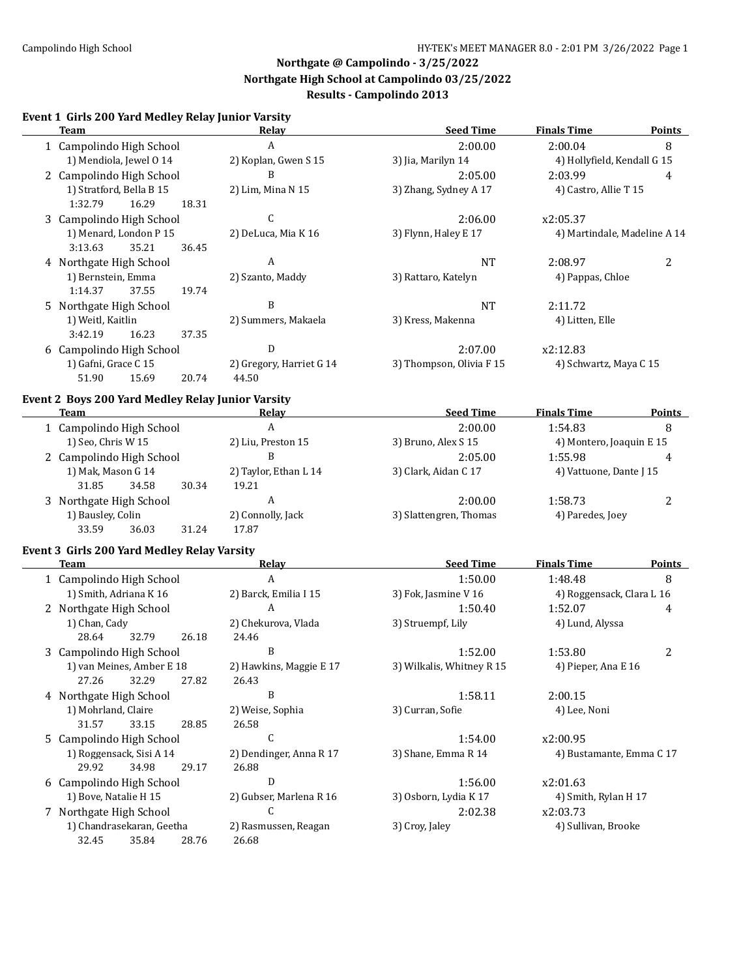### **Event 1 Girls 200 Yard Medley Relay Junior Varsity**

| <b>Team</b>                                       | Relay                    | <b>Seed Time</b>          | <b>Finals Time</b>           | <b>Points</b>  |
|---------------------------------------------------|--------------------------|---------------------------|------------------------------|----------------|
| 1 Campolindo High School                          | A                        | 2:00.00                   | 2:00.04                      | 8              |
| 1) Mendiola, Jewel 0 14                           | 2) Koplan, Gwen S 15     | 3) Jia, Marilyn 14        | 4) Hollyfield, Kendall G 15  |                |
| 2 Campolindo High School                          | B                        | 2:05.00                   | 2:03.99                      | 4              |
| 1) Stratford, Bella B 15                          | 2) Lim, Mina N 15        | 3) Zhang, Sydney A 17     | 4) Castro, Allie T 15        |                |
| 18.31<br>1:32.79<br>16.29                         |                          |                           |                              |                |
| 3 Campolindo High School                          | C                        | 2:06.00                   | x2:05.37                     |                |
| 1) Menard, London P 15                            | 2) DeLuca, Mia K 16      | 3) Flynn, Haley E 17      | 4) Martindale, Madeline A 14 |                |
| 3:13.63<br>35.21<br>36.45                         |                          |                           |                              |                |
| 4 Northgate High School                           | A                        | <b>NT</b>                 | 2:08.97                      | 2              |
| 1) Bernstein, Emma                                | 2) Szanto, Maddy         | 3) Rattaro, Katelyn       | 4) Pappas, Chloe             |                |
| 1:14.37<br>37.55<br>19.74                         |                          |                           |                              |                |
| 5 Northgate High School                           | B                        | <b>NT</b>                 | 2:11.72                      |                |
| 1) Weitl, Kaitlin                                 | 2) Summers, Makaela      | 3) Kress, Makenna         | 4) Litten, Elle              |                |
| 3:42.19<br>16.23<br>37.35                         |                          |                           |                              |                |
|                                                   | D                        | 2:07.00                   | x2:12.83                     |                |
| 6 Campolindo High School                          |                          |                           |                              |                |
| 1) Gafni, Grace C 15                              | 2) Gregory, Harriet G 14 | 3) Thompson, Olivia F 15  | 4) Schwartz, Maya C 15       |                |
| 51.90<br>15.69<br>20.74                           | 44.50                    |                           |                              |                |
| Event 2 Boys 200 Yard Medley Relay Junior Varsity |                          |                           |                              |                |
| <b>Team</b>                                       | <b>Relay</b>             | <b>Seed Time</b>          | <b>Finals Time</b>           | <b>Points</b>  |
| 1 Campolindo High School                          | $\mathbf{A}$             | 2:00.00                   | 1:54.83                      | 8              |
| 1) Seo, Chris W 15                                | 2) Liu, Preston 15       | 3) Bruno, Alex S 15       | 4) Montero, Joaquin E 15     |                |
| 2 Campolindo High School                          | B                        | 2:05.00                   | 1:55.98                      | 4              |
| 1) Mak, Mason G 14                                | 2) Taylor, Ethan L 14    | 3) Clark, Aidan C 17      | 4) Vattuone, Dante J 15      |                |
| 31.85<br>34.58<br>30.34                           | 19.21                    |                           |                              |                |
| 3 Northgate High School                           | A                        | 2:00.00                   | 1:58.73                      | $\overline{2}$ |
| 1) Bausley, Colin                                 | 2) Connolly, Jack        | 3) Slattengren, Thomas    | 4) Paredes, Joey             |                |
| 33.59<br>31.24<br>36.03                           | 17.87                    |                           |                              |                |
|                                                   |                          |                           |                              |                |
| Event 3 Girls 200 Yard Medley Relay Varsity       |                          | <b>Seed Time</b>          |                              |                |
| Team                                              | Relay                    |                           | <b>Finals Time</b>           | <b>Points</b>  |
| 1 Campolindo High School                          | A                        | 1:50.00                   | 1:48.48                      | 8              |
| 1) Smith, Adriana K 16                            | 2) Barck, Emilia I 15    | 3) Fok, Jasmine V 16      | 4) Roggensack, Clara L 16    |                |
| 2 Northgate High School                           | A                        | 1:50.40                   | 1:52.07                      | 4              |
| 1) Chan, Cady                                     | 2) Chekurova, Vlada      | 3) Struempf, Lily         | 4) Lund, Alyssa              |                |
| 28.64<br>32.79<br>26.18                           | 24.46                    |                           |                              |                |
| 3 Campolindo High School                          | B                        | 1:52.00                   | 1:53.80                      | 2              |
| 1) van Meines, Amber E 18                         | 2) Hawkins, Maggie E 17  | 3) Wilkalis, Whitney R 15 | 4) Pieper, Ana E 16          |                |
| 27.26 32.29<br>27.82                              | 26.43                    |                           |                              |                |
| 4 Northgate High School                           | B                        | 1:58.11                   | 2:00.15                      |                |
| 1) Mohrland, Claire                               | 2) Weise, Sophia         | 3) Curran, Sofie          | 4) Lee, Noni                 |                |
| 33.15<br>31.57<br>28.85                           | 26.58                    |                           |                              |                |
| 5 Campolindo High School                          | C                        | 1:54.00                   | x2:00.95                     |                |
| 1) Roggensack, Sisi A 14                          | 2) Dendinger, Anna R 17  | 3) Shane, Emma R 14       | 4) Bustamante, Emma C 17     |                |
| 29.92<br>34.98<br>29.17                           | 26.88                    |                           |                              |                |
| 6 Campolindo High School                          | D                        | 1:56.00                   | x2:01.63                     |                |
| 1) Bove, Natalie H 15                             | 2) Gubser, Marlena R 16  | 3) Osborn, Lydia K 17     | 4) Smith, Rylan H 17         |                |
| 7 Northgate High School                           | C                        | 2:02.38                   | x2:03.73                     |                |
| 1) Chandrasekaran, Geetha                         | 2) Rasmussen, Reagan     | 3) Croy, Jaley            | 4) Sullivan, Brooke          |                |
| 32.45<br>35.84<br>28.76                           | 26.68                    |                           |                              |                |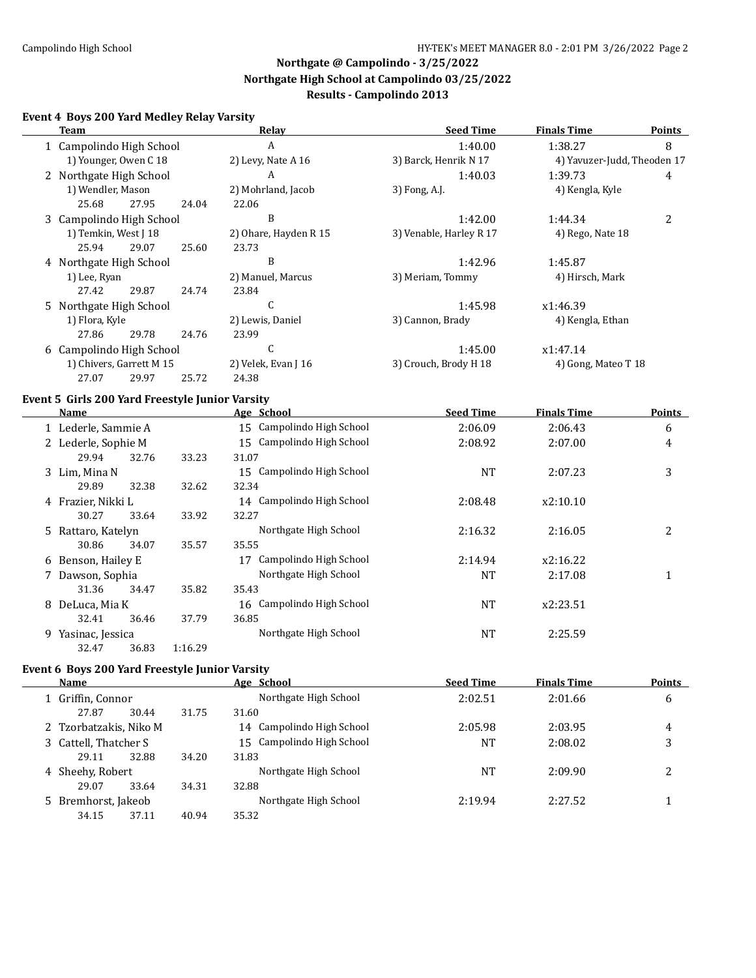#### **Event 4 Boys 200 Yard Medley Relay Varsity**

| <b>Team</b>                                     |         | <b>Relay</b>              | <b>Seed Time</b>        | <b>Finals Time</b>          | <b>Points</b>  |
|-------------------------------------------------|---------|---------------------------|-------------------------|-----------------------------|----------------|
| 1 Campolindo High School                        |         | $\boldsymbol{A}$          | 1:40.00                 | 1:38.27                     | 8              |
| 1) Younger, Owen C 18                           |         | 2) Levy, Nate A 16        | 3) Barck, Henrik N 17   | 4) Yavuzer-Judd, Theoden 17 |                |
| 2 Northgate High School                         |         | A                         | 1:40.03                 | 1:39.73                     | 4              |
| 1) Wendler, Mason                               |         | 2) Mohrland, Jacob        | 3) Fong, A.J.           | 4) Kengla, Kyle             |                |
| 25.68<br>27.95                                  | 24.04   | 22.06                     |                         |                             |                |
| 3 Campolindo High School                        |         | B                         | 1:42.00                 | 1:44.34                     | $\overline{2}$ |
| 1) Temkin, West J 18                            |         | 2) Ohare, Hayden R 15     | 3) Venable, Harley R 17 | 4) Rego, Nate 18            |                |
| 25.94<br>29.07                                  | 25.60   | 23.73                     |                         |                             |                |
| 4 Northgate High School                         |         | B                         | 1:42.96                 | 1:45.87                     |                |
| 1) Lee, Ryan                                    |         | 2) Manuel, Marcus         | 3) Meriam, Tommy        | 4) Hirsch, Mark             |                |
| 27.42<br>29.87                                  | 24.74   | 23.84                     |                         |                             |                |
| 5 Northgate High School                         |         | C                         | 1:45.98                 | x1:46.39                    |                |
| 1) Flora, Kyle                                  |         | 2) Lewis, Daniel          | 3) Cannon, Brady        | 4) Kengla, Ethan            |                |
| 27.86<br>29.78                                  | 24.76   | 23.99                     |                         |                             |                |
| 6 Campolindo High School                        |         | $\mathsf{C}$              | 1:45.00                 | x1:47.14                    |                |
| 1) Chivers, Garrett M 15                        |         | 2) Velek, Evan J 16       | 3) Crouch, Brody H 18   | 4) Gong, Mateo T 18         |                |
| 27.07<br>29.97                                  | 25.72   | 24.38                     |                         |                             |                |
| Event 5 Girls 200 Yard Freestyle Junior Varsity |         |                           |                         |                             |                |
| <b>Name</b>                                     |         | Age School                | <b>Seed Time</b>        | <b>Finals Time</b>          | <b>Points</b>  |
| 1 Lederle, Sammie A                             |         | 15 Campolindo High School | 2:06.09                 | 2:06.43                     | 6              |
| 2 Lederle, Sophie M                             |         | 15 Campolindo High School | 2:08.92                 | 2:07.00                     | 4              |
| 29.94<br>32.76                                  | 33.23   | 31.07                     |                         |                             |                |
| 3 Lim, Mina N                                   |         | 15 Campolindo High School | <b>NT</b>               | 2:07.23                     | 3              |
| 29.89<br>32.38                                  | 32.62   | 32.34                     |                         |                             |                |
| 4 Frazier, Nikki L                              |         | 14 Campolindo High School | 2:08.48                 | x2:10.10                    |                |
| 30.27<br>33.64                                  | 33.92   | 32.27                     |                         |                             |                |
| 5 Rattaro, Katelyn                              |         | Northgate High School     | 2:16.32                 | 2:16.05                     | 2              |
| 30.86<br>34.07                                  | 35.57   | 35.55                     |                         |                             |                |
| 6 Benson, Hailey E                              |         | 17 Campolindo High School | 2:14.94                 | x2:16.22                    |                |
| 7 Dawson, Sophia                                |         | Northgate High School     | <b>NT</b>               | 2:17.08                     | $\mathbf{1}$   |
| 31.36<br>34.47                                  | 35.82   | 35.43                     |                         |                             |                |
| 8 DeLuca, Mia K                                 |         | 16 Campolindo High School | NT                      | x2:23.51                    |                |
| 32.41<br>36.46                                  | 37.79   | 36.85                     |                         |                             |                |
| 9 Yasinac, Jessica                              |         | Northgate High School     | <b>NT</b>               | 2:25.59                     |                |
| 32.47<br>36.83                                  | 1:16.29 |                           |                         |                             |                |

### **Event 6 Boys 200 Yard Freestyle Junior Varsity**

 $\overline{\phantom{a}}$ 

| <b>Points</b> |
|---------------|
| 6             |
|               |
| 4             |
| 3             |
|               |
| 2             |
|               |
|               |
|               |
|               |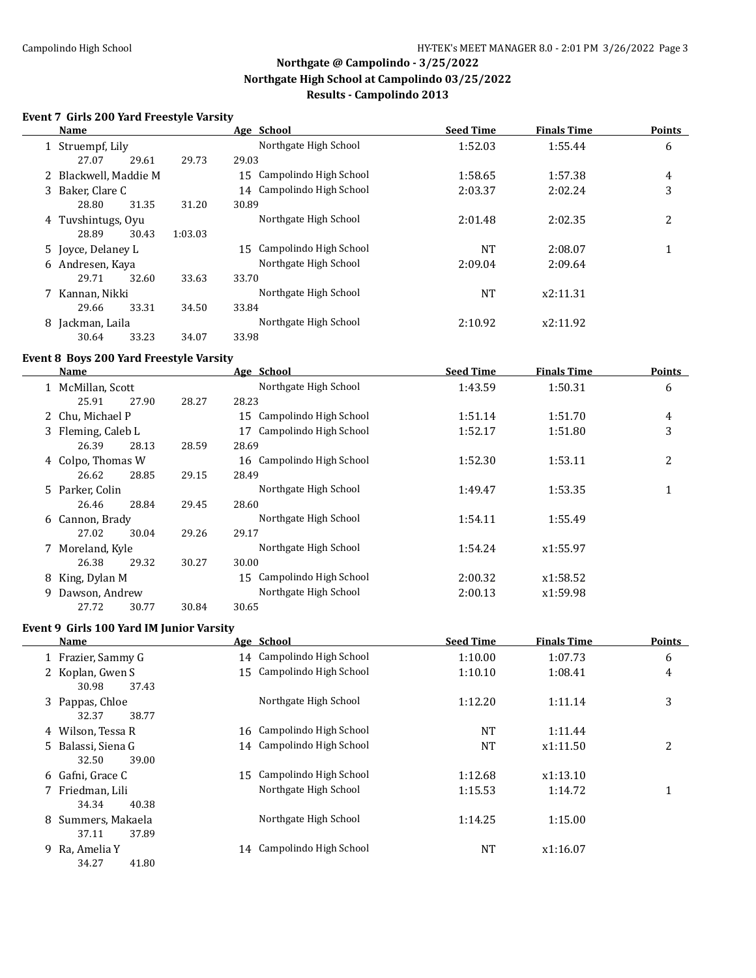### **Event 7 Girls 200 Yard Freestyle Varsity**

|   | Name                  |       |         | Age School                   | <b>Seed Time</b> | <b>Finals Time</b> | <b>Points</b> |
|---|-----------------------|-------|---------|------------------------------|------------------|--------------------|---------------|
|   | 1 Struempf, Lily      |       |         | Northgate High School        | 1:52.03          | 1:55.44            | 6             |
|   | 27.07                 | 29.61 | 29.73   | 29.03                        |                  |                    |               |
|   | 2 Blackwell, Maddie M |       |         | 15 Campolindo High School    | 1:58.65          | 1:57.38            | 4             |
|   | 3 Baker, Clare C      |       |         | 14 Campolindo High School    | 2:03.37          | 2:02.24            | 3             |
|   | 28.80                 | 31.35 | 31.20   | 30.89                        |                  |                    |               |
|   | 4 Tuvshintugs, Oyu    |       |         | Northgate High School        | 2:01.48          | 2:02.35            | 2             |
|   | 28.89                 | 30.43 | 1:03.03 |                              |                  |                    |               |
|   | 5 Joyce, Delaney L    |       |         | Campolindo High School<br>15 | NT               | 2:08.07            | 1             |
|   | 6 Andresen, Kaya      |       |         | Northgate High School        | 2:09.04          | 2:09.64            |               |
|   | 29.71                 | 32.60 | 33.63   | 33.70                        |                  |                    |               |
|   | 7 Kannan, Nikki       |       |         | Northgate High School        | NT               | x2:11.31           |               |
|   | 29.66                 | 33.31 | 34.50   | 33.84                        |                  |                    |               |
| 8 | Jackman, Laila        |       |         | Northgate High School        | 2:10.92          | x2:11.92           |               |
|   | 30.64                 | 33.23 | 34.07   | 33.98                        |                  |                    |               |

#### **Event 8 Boys 200 Yard Freestyle Varsity**

|    | Name               |       |       | Age School                   | <b>Seed Time</b> | <b>Finals Time</b> | <b>Points</b> |
|----|--------------------|-------|-------|------------------------------|------------------|--------------------|---------------|
|    | 1 McMillan, Scott  |       |       | Northgate High School        | 1:43.59          | 1:50.31            | 6             |
|    | 25.91              | 27.90 | 28.27 | 28.23                        |                  |                    |               |
|    | 2 Chu, Michael P   |       |       | 15 Campolindo High School    | 1:51.14          | 1:51.70            | 4             |
|    | 3 Fleming, Caleb L |       |       | Campolindo High School<br>17 | 1:52.17          | 1:51.80            | 3             |
|    | 26.39              | 28.13 | 28.59 | 28.69                        |                  |                    |               |
|    | 4 Colpo, Thomas W  |       |       | 16 Campolindo High School    | 1:52.30          | 1:53.11            | 2             |
|    | 26.62              | 28.85 | 29.15 | 28.49                        |                  |                    |               |
|    | 5 Parker, Colin    |       |       | Northgate High School        | 1:49.47          | 1:53.35            | 1             |
|    | 26.46              | 28.84 | 29.45 | 28.60                        |                  |                    |               |
|    | 6 Cannon, Brady    |       |       | Northgate High School        | 1:54.11          | 1:55.49            |               |
|    | 27.02              | 30.04 | 29.26 | 29.17                        |                  |                    |               |
|    | 7 Moreland, Kyle   |       |       | Northgate High School        | 1:54.24          | x1:55.97           |               |
|    | 26.38              | 29.32 | 30.27 | 30.00                        |                  |                    |               |
| 8  | King, Dylan M      |       |       | 15 Campolindo High School    | 2:00.32          | x1:58.52           |               |
| 9. | Dawson, Andrew     |       |       | Northgate High School        | 2:00.13          | x1:59.98           |               |
|    | 27.72              | 30.77 | 30.84 | 30.65                        |                  |                    |               |

### **Event 9 Girls 100 Yard IM Junior Varsity**

| Name                                 |    | Age School                | <b>Seed Time</b> | <b>Finals Time</b> | <b>Points</b> |
|--------------------------------------|----|---------------------------|------------------|--------------------|---------------|
| 1 Frazier, Sammy G                   |    | 14 Campolindo High School | 1:10.00          | 1:07.73            | 6             |
| 2 Koplan, Gwen S<br>37.43<br>30.98   |    | 15 Campolindo High School | 1:10.10          | 1:08.41            | 4             |
| 3 Pappas, Chloe<br>38.77<br>32.37    |    | Northgate High School     | 1:12.20          | 1:11.14            | 3             |
| 4 Wilson, Tessa R                    |    | 16 Campolindo High School | NT               | 1:11.44            |               |
| 5 Balassi, Siena G<br>39.00<br>32.50 |    | 14 Campolindo High School | NT               | x1:11.50           | 2             |
| 6 Gafni, Grace C                     | 15 | Campolindo High School    | 1:12.68          | x1:13.10           |               |
| 7 Friedman, Lili<br>34.34<br>40.38   |    | Northgate High School     | 1:15.53          | 1:14.72            | 1             |
| 8 Summers, Makaela<br>37.89<br>37.11 |    | Northgate High School     | 1:14.25          | 1:15.00            |               |
| 9 Ra, Amelia Y<br>34.27<br>41.80     |    | 14 Campolindo High School | NT               | x1:16.07           |               |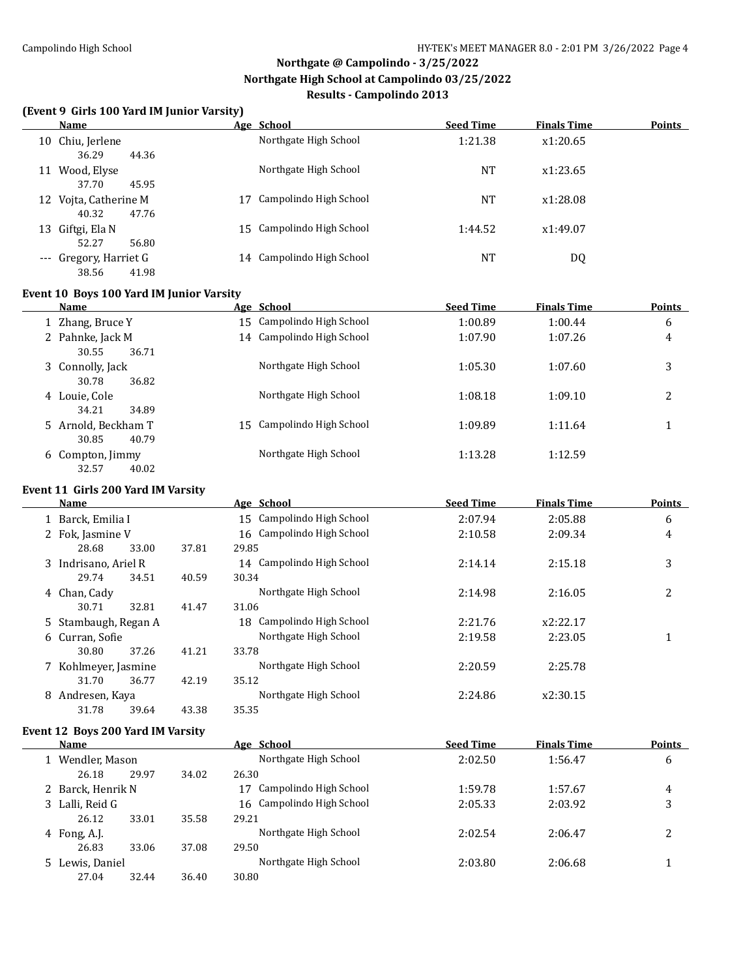### **(Event 9 Girls 100 Yard IM Junior Varsity)**

| (Event 7 Girls 100 Taru ny Junior varsity)<br><b>Name</b> |                | Age School                | <b>Seed Time</b> | <b>Finals Time</b> | <b>Points</b> |
|-----------------------------------------------------------|----------------|---------------------------|------------------|--------------------|---------------|
| 10 Chiu, Jerlene<br>36.29<br>44.36                        |                | Northgate High School     | 1:21.38          | x1:20.65           |               |
| 11 Wood, Elyse<br>37.70<br>45.95                          |                | Northgate High School     | <b>NT</b>        | x1:23.65           |               |
| 12 Vojta, Catherine M<br>40.32<br>47.76                   |                | 17 Campolindo High School | <b>NT</b>        | x1:28.08           |               |
| 13 Giftgi, Ela N<br>52.27<br>56.80                        |                | 15 Campolindo High School | 1:44.52          | x1:49.07           |               |
| --- Gregory, Harriet G<br>38.56<br>41.98                  |                | 14 Campolindo High School | <b>NT</b>        | <b>DQ</b>          |               |
| Event 10 Boys 100 Yard IM Junior Varsity                  |                |                           |                  |                    |               |
| <b>Name</b>                                               |                | Age School                | <b>Seed Time</b> | <b>Finals Time</b> | <b>Points</b> |
| 1 Zhang, Bruce Y                                          |                | 15 Campolindo High School | 1:00.89          | 1:00.44            | 6             |
| 2 Pahnke, Jack M<br>30.55<br>36.71                        |                | 14 Campolindo High School | 1:07.90          | 1:07.26            | 4             |
| 3 Connolly, Jack<br>30.78<br>36.82                        |                | Northgate High School     | 1:05.30          | 1:07.60            | 3             |
| 4 Louie, Cole<br>34.21<br>34.89                           |                | Northgate High School     | 1:08.18          | 1:09.10            | 2             |
| 5 Arnold, Beckham T<br>30.85<br>40.79                     |                | 15 Campolindo High School | 1:09.89          | 1:11.64            | $\mathbf{1}$  |
| 6 Compton, Jimmy<br>32.57<br>40.02                        |                | Northgate High School     | 1:13.28          | 1:12.59            |               |
| Event 11 Girls 200 Yard IM Varsity                        |                |                           |                  |                    |               |
| Name                                                      |                | Age School                | <b>Seed Time</b> | <b>Finals Time</b> | <b>Points</b> |
| 1 Barck, Emilia I                                         |                | 15 Campolindo High School | 2:07.94          | 2:05.88            | 6             |
| 2 Fok, Jasmine V<br>28.68<br>33.00                        | 29.85<br>37.81 | 16 Campolindo High School | 2:10.58          | 2:09.34            | 4             |
| 3 Indrisano, Ariel R<br>29.74<br>34.51                    | 30.34<br>40.59 | 14 Campolindo High School | 2:14.14          | 2:15.18            | 3             |
| 4 Chan, Cady<br>30.71<br>32.81                            | 31.06<br>41.47 | Northgate High School     | 2:14.98          | 2:16.05            | 2             |
| 5 Stambaugh, Regan A                                      |                | 18 Campolindo High School | 2:21.76          | x2:22.17           |               |
| 6 Curran, Sofie<br>30.80<br>37.26                         | 41.21<br>33.78 | Northgate High School     | 2:19.58          | 2:23.05            | $\mathbf{1}$  |
| 7 Kohlmeyer, Jasmine<br>31.70<br>36.77                    | 42.19<br>35.12 | Northgate High School     | 2:20.59          | 2:25.78            |               |
| 8 Andresen, Kaya<br>31.78<br>39.64                        | 35.35<br>43.38 | Northgate High School     | 2:24.86          | x2:30.15           |               |
| Event 12 Boys 200 Yard IM Varsity<br><u>Name</u>          |                | Age School                | <b>Seed Time</b> | <b>Finals Time</b> | <b>Points</b> |
| 1 Wendler, Mason                                          |                | Northgate High School     | 2:02.50          | 1:56.47            | 6             |
| 26.18<br>29.97                                            | 34.02<br>26.30 |                           |                  |                    |               |
| 2 Barck, Henrik N                                         |                | 17 Campolindo High School | 1:59.78          | 1:57.67            | 4             |
| 3 Lalli, Reid G                                           |                | 16 Campolindo High School | 2:05.33          | 2:03.92            | 3             |
| 26.12<br>33.01                                            | 29.21<br>35.58 |                           |                  |                    |               |
| 4 Fong, A.J.<br>26.83<br>33.06                            | 29.50<br>37.08 | Northgate High School     | 2:02.54          | 2:06.47            | 2             |
| 5 Lewis, Daniel                                           |                | Northgate High School     | 2:03.80          | 2:06.68            | $\mathbf{1}$  |
| 27.04<br>32.44                                            | 30.80<br>36.40 |                           |                  |                    |               |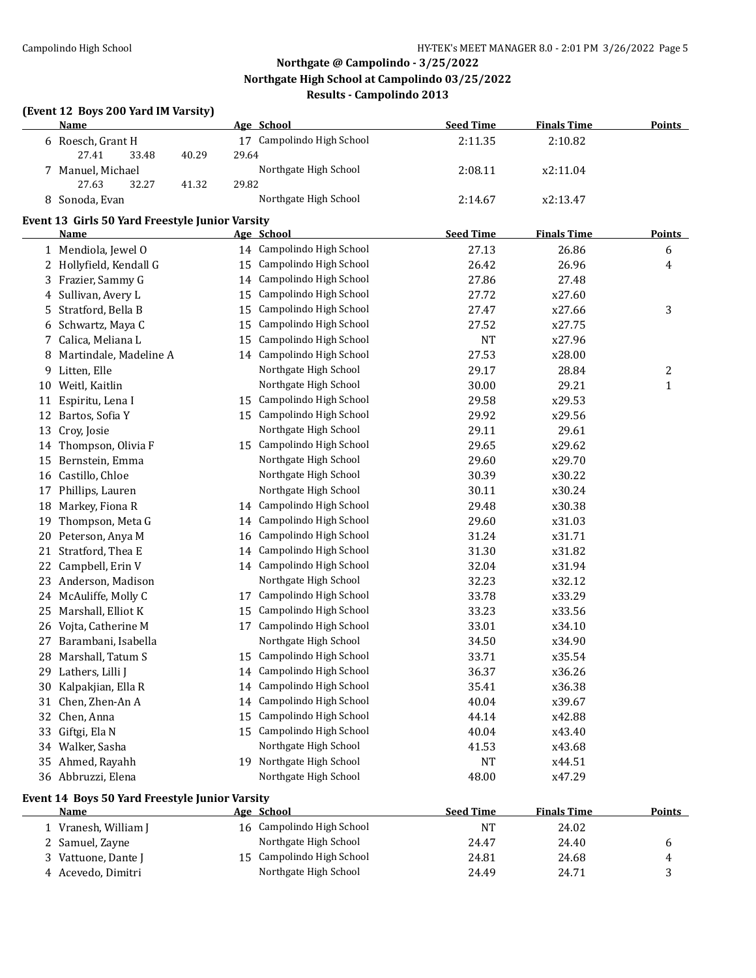### **(Event 12 Boys 200 Yard IM Varsity)**

|     | <b>Name</b>                                            |                | Age School                                         | <b>Seed Time</b> | <b>Finals Time</b> | <b>Points</b> |
|-----|--------------------------------------------------------|----------------|----------------------------------------------------|------------------|--------------------|---------------|
|     | 6 Roesch, Grant H<br>27.41<br>33.48                    | 29.64<br>40.29 | 17 Campolindo High School                          | 2:11.35          | 2:10.82            |               |
|     | 7 Manuel, Michael<br>27.63<br>32.27                    | 29.82<br>41.32 | Northgate High School                              | 2:08.11          | x2:11.04           |               |
|     | 8 Sonoda, Evan                                         |                | Northgate High School                              | 2:14.67          | x2:13.47           |               |
|     | Event 13 Girls 50 Yard Freestyle Junior Varsity        |                |                                                    |                  |                    |               |
|     | Name                                                   |                | Age School                                         | <b>Seed Time</b> | <b>Finals Time</b> | <b>Points</b> |
|     | 1 Mendiola, Jewel O                                    |                | 14 Campolindo High School                          | 27.13            | 26.86              | 6             |
|     | 2 Hollyfield, Kendall G                                |                | 15 Campolindo High School                          | 26.42            | 26.96              | 4             |
|     | 3 Frazier, Sammy G                                     |                | 14 Campolindo High School                          | 27.86            | 27.48              |               |
|     | 4 Sullivan, Avery L                                    | 15             | Campolindo High School                             | 27.72            | x27.60             |               |
| 5.  | Stratford, Bella B                                     | 15             | Campolindo High School                             | 27.47            | x27.66             | 3             |
| 6   | Schwartz, Maya C                                       | 15             | Campolindo High School                             | 27.52            | x27.75             |               |
|     | 7 Calica, Meliana L                                    | 15             | Campolindo High School                             | <b>NT</b>        | x27.96             |               |
| 8   | Martindale, Madeline A                                 |                | 14 Campolindo High School                          | 27.53            | x28.00             |               |
|     | 9 Litten, Elle                                         |                | Northgate High School                              | 29.17            | 28.84              | 2             |
|     | 10 Weitl, Kaitlin                                      |                | Northgate High School                              | 30.00            | 29.21              | $\mathbf{1}$  |
| 11  | Espiritu, Lena I                                       |                | 15 Campolindo High School                          | 29.58            | x29.53             |               |
| 12  | Bartos, Sofia Y                                        |                | 15 Campolindo High School                          | 29.92            | x29.56             |               |
| 13  | Croy, Josie                                            |                | Northgate High School                              | 29.11            | 29.61              |               |
| 14  | Thompson, Olivia F                                     |                | 15 Campolindo High School                          | 29.65            | x29.62             |               |
| 15  | Bernstein, Emma                                        |                | Northgate High School                              | 29.60            | x29.70             |               |
|     | 16 Castillo, Chloe                                     |                | Northgate High School                              | 30.39            | x30.22             |               |
| 17  | Phillips, Lauren                                       |                | Northgate High School                              | 30.11            | x30.24             |               |
| 18  | Markey, Fiona R                                        |                | 14 Campolindo High School                          | 29.48            | x30.38             |               |
| 19  | Thompson, Meta G                                       | 14             | Campolindo High School                             | 29.60            | x31.03             |               |
| 20  | Peterson, Anya M                                       | 16             | Campolindo High School                             | 31.24            | x31.71             |               |
| 21  | Stratford, Thea E                                      | 14             | Campolindo High School                             | 31.30            | x31.82             |               |
| 22  | Campbell, Erin V                                       |                | 14 Campolindo High School                          | 32.04            | x31.94             |               |
| 23  | Anderson, Madison                                      |                | Northgate High School                              | 32.23            | x32.12             |               |
|     | 24 McAuliffe, Molly C                                  |                | 17 Campolindo High School                          | 33.78            | x33.29             |               |
| 25. | Marshall, Elliot K                                     |                | 15 Campolindo High School                          | 33.23            | x33.56             |               |
|     | 26 Vojta, Catherine M                                  |                | 17 Campolindo High School                          | 33.01            | x34.10             |               |
|     | 27 Barambani, Isabella                                 |                | Northgate High School<br>15 Campolindo High School | 34.50            | x34.90             |               |
|     | 28 Marshall, Tatum S                                   |                | 14 Campolindo High School                          | 33.71            | x35.54             |               |
|     | 29 Lathers, Lilli J                                    |                | 14 Campolindo High School                          | 36.37            | x36.26             |               |
|     | 30 Kalpakjian, Ella R                                  |                | 14 Campolindo High School                          | 35.41            | x36.38             |               |
|     | 31 Chen, Zhen-An A                                     |                | Campolindo High School                             | 40.04            | x39.67             |               |
|     | 32 Chen, Anna                                          | 15             | 15 Campolindo High School                          | 44.14            | x42.88             |               |
| 33  | Giftgi, Ela N                                          |                | Northgate High School                              | 40.04            | x43.40             |               |
|     | 34 Walker, Sasha                                       |                | 19 Northgate High School                           | 41.53            | x43.68             |               |
|     | 35 Ahmed, Rayahh                                       |                | Northgate High School                              | NT               | x44.51             |               |
|     | 36 Abbruzzi, Elena                                     |                |                                                    | 48.00            | x47.29             |               |
|     | Event 14 Boys 50 Yard Freestyle Junior Varsity<br>Name |                | Age School                                         | <b>Seed Time</b> | <b>Finals Time</b> | <b>Points</b> |
|     | 1 Vranesh, William J                                   |                | 16 Campolindo High School                          | <b>NT</b>        | 24.02              |               |
|     | 2 Samuel, Zayne                                        |                | Northgate High School                              | 24.47            | 24.40              | 6             |
|     | 3 Vattuone, Dante J                                    |                | 15 Campolindo High School                          | 24.81            | 24.68              | 4             |
|     | 4 Acevedo, Dimitri                                     |                | Northgate High School                              | 24.49            | 24.71              | 3             |
|     |                                                        |                |                                                    |                  |                    |               |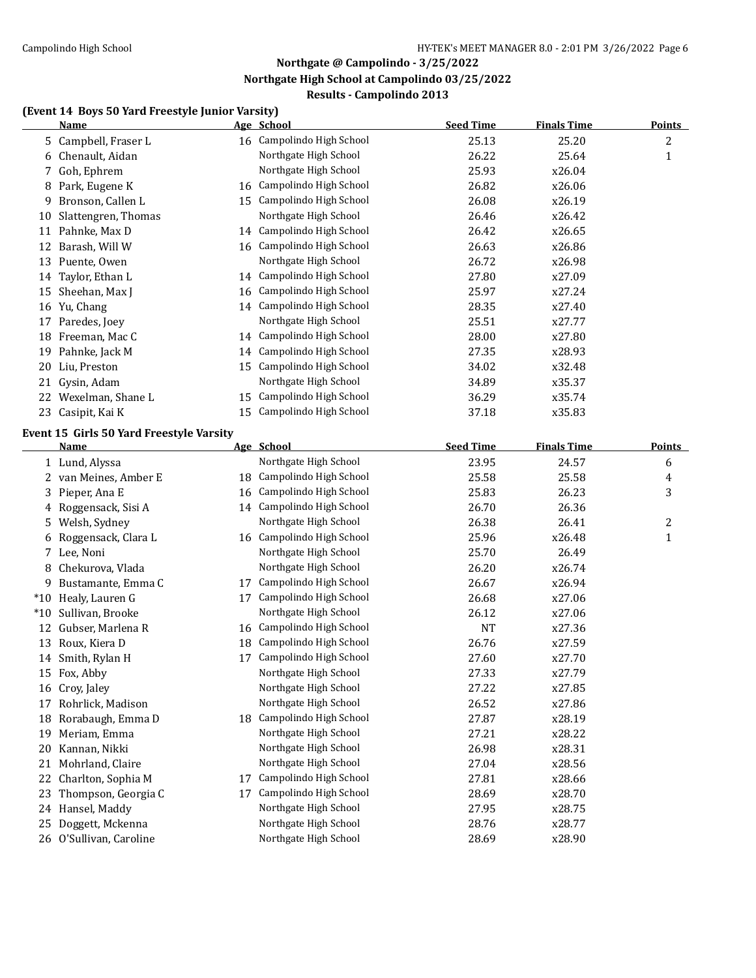### **(Event 14 Boys 50 Yard Freestyle Junior Varsity)**

|       | <b>Name</b>                              |    | Age School                | <b>Seed Time</b> | <b>Finals Time</b> | <b>Points</b>    |
|-------|------------------------------------------|----|---------------------------|------------------|--------------------|------------------|
| 5.    | Campbell, Fraser L                       |    | 16 Campolindo High School | 25.13            | 25.20              | $\boldsymbol{2}$ |
| 6     | Chenault, Aidan                          |    | Northgate High School     | 26.22            | 25.64              | $\mathbf{1}$     |
| 7     | Goh, Ephrem                              |    | Northgate High School     | 25.93            | x26.04             |                  |
| 8     | Park, Eugene K                           |    | 16 Campolindo High School | 26.82            | x26.06             |                  |
| 9     | Bronson, Callen L                        |    | 15 Campolindo High School | 26.08            | x26.19             |                  |
| 10    | Slattengren, Thomas                      |    | Northgate High School     | 26.46            | x26.42             |                  |
|       | 11 Pahnke, Max D                         |    | 14 Campolindo High School | 26.42            | x26.65             |                  |
| 12    | Barash, Will W                           | 16 | Campolindo High School    | 26.63            | x26.86             |                  |
| 13    | Puente, Owen                             |    | Northgate High School     | 26.72            | x26.98             |                  |
| 14    | Taylor, Ethan L                          |    | 14 Campolindo High School | 27.80            | x27.09             |                  |
| 15    | Sheehan, Max J                           |    | 16 Campolindo High School | 25.97            | x27.24             |                  |
| 16    | Yu, Chang                                |    | 14 Campolindo High School | 28.35            | x27.40             |                  |
| 17    | Paredes, Joey                            |    | Northgate High School     | 25.51            | x27.77             |                  |
| 18    | Freeman, Mac C                           |    | 14 Campolindo High School | 28.00            | x27.80             |                  |
| 19    | Pahnke, Jack M                           |    | 14 Campolindo High School | 27.35            | x28.93             |                  |
| 20    | Liu, Preston                             | 15 | Campolindo High School    | 34.02            | x32.48             |                  |
|       | 21 Gysin, Adam                           |    | Northgate High School     | 34.89            | x35.37             |                  |
|       | 22 Wexelman, Shane L                     | 15 | Campolindo High School    | 36.29            | x35.74             |                  |
|       | 23 Casipit, Kai K                        | 15 | Campolindo High School    | 37.18            | x35.83             |                  |
|       |                                          |    |                           |                  |                    |                  |
|       | Event 15 Girls 50 Yard Freestyle Varsity |    |                           |                  |                    |                  |
|       | <u>Name</u>                              |    | Age School                | <b>Seed Time</b> | <b>Finals Time</b> | <b>Points</b>    |
|       | 1 Lund, Alyssa                           |    | Northgate High School     | 23.95            | 24.57              | 6                |
|       | 2 van Meines, Amber E                    |    | 18 Campolindo High School | 25.58            | 25.58              | 4                |
| 3     | Pieper, Ana E                            | 16 | Campolindo High School    | 25.83            | 26.23              | 3                |
| 4     | Roggensack, Sisi A                       |    | 14 Campolindo High School | 26.70            | 26.36              |                  |
| 5.    | Welsh, Sydney                            |    | Northgate High School     | 26.38            | 26.41              | 2                |
| 6     | Roggensack, Clara L                      | 16 | Campolindo High School    | 25.96            | x26.48             | $\mathbf{1}$     |
| 7     | Lee, Noni                                |    | Northgate High School     | 25.70            | 26.49              |                  |
| 8     | Chekurova, Vlada                         |    | Northgate High School     | 26.20            | x26.74             |                  |
| 9     | Bustamante, Emma C                       | 17 | Campolindo High School    | 26.67            | x26.94             |                  |
|       | *10 Healy, Lauren G                      | 17 | Campolindo High School    | 26.68            | x27.06             |                  |
| $*10$ | Sullivan, Brooke                         |    | Northgate High School     | 26.12            | x27.06             |                  |
|       | 12 Gubser, Marlena R                     | 16 | Campolindo High School    | <b>NT</b>        | x27.36             |                  |
|       | 13 Roux, Kiera D                         | 18 | Campolindo High School    | 26.76            | x27.59             |                  |
|       | 14 Smith, Rylan H                        | 17 | Campolindo High School    | 27.60            | x27.70             |                  |
|       | 15 Fox, Abby                             |    | Northgate High School     | 27.33            | x27.79             |                  |
|       | 16 Croy, Jaley                           |    | Northgate High School     | 27.22            | x27.85             |                  |
| 17    | Rohrlick, Madison                        |    | Northgate High School     | 26.52            | x27.86             |                  |
| 18    | Rorabaugh, Emma D                        |    | 18 Campolindo High School | 27.87            | x28.19             |                  |
| 19    | Meriam, Emma                             |    | Northgate High School     | 27.21            | x28.22             |                  |
| 20    | Kannan, Nikki                            |    | Northgate High School     | 26.98            | x28.31             |                  |
| 21    | Mohrland, Claire                         |    | Northgate High School     | 27.04            | x28.56             |                  |
| 22    | Charlton, Sophia M                       | 17 | Campolindo High School    | 27.81            | x28.66             |                  |
| 23    | Thompson, Georgia C                      | 17 | Campolindo High School    | 28.69            | x28.70             |                  |
|       | 24 Hansel, Maddy                         |    | Northgate High School     | 27.95            | x28.75             |                  |
| 25    | Doggett, Mckenna                         |    | Northgate High School     | 28.76            | x28.77             |                  |
|       | 26 O'Sullivan, Caroline                  |    | Northgate High School     | 28.69            | x28.90             |                  |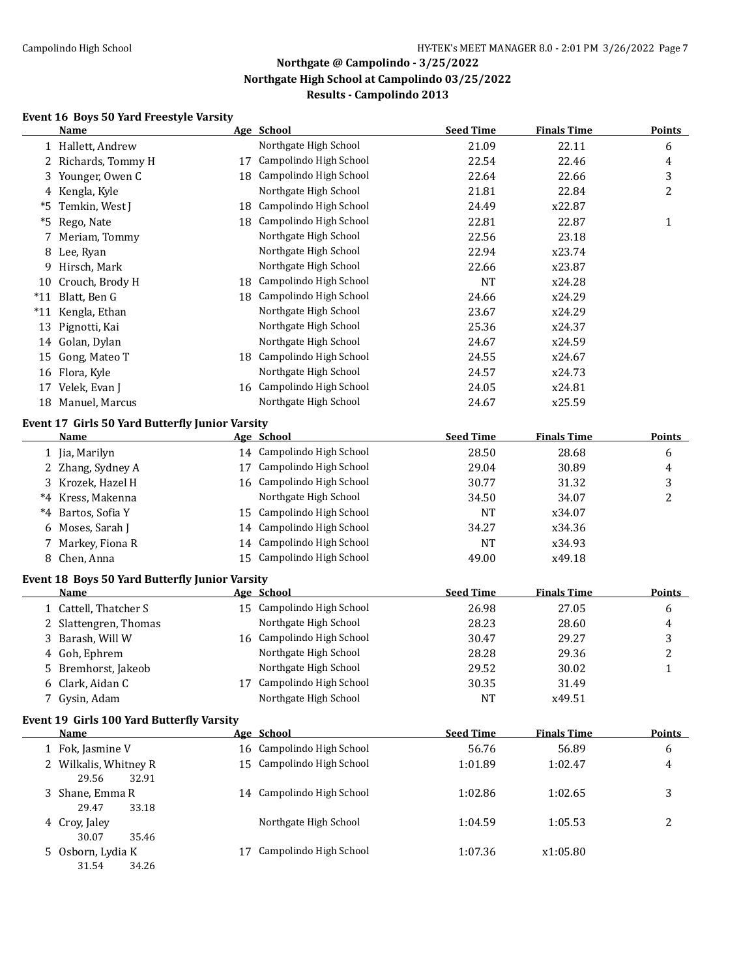#### **Event 16 Boys 50 Yard Freestyle Varsity**

|       | Name                                                   |    | Age School                              | <b>Seed Time</b> | <b>Finals Time</b> | <b>Points</b>       |
|-------|--------------------------------------------------------|----|-----------------------------------------|------------------|--------------------|---------------------|
|       | 1 Hallett, Andrew                                      |    | Northgate High School                   | 21.09            | 22.11              | 6                   |
|       | 2 Richards, Tommy H                                    | 17 | Campolindo High School                  | 22.54            | 22.46              | 4                   |
|       | 3 Younger, Owen C                                      |    | 18 Campolindo High School               | 22.64            | 22.66              | 3                   |
| 4     | Kengla, Kyle                                           |    | Northgate High School                   | 21.81            | 22.84              | 2                   |
| *5    | Temkin, West J                                         | 18 | Campolindo High School                  | 24.49            | x22.87             |                     |
|       | *5 Rego, Nate                                          |    | 18 Campolindo High School               | 22.81            | 22.87              | $\mathbf{1}$        |
| 7     | Meriam, Tommy                                          |    | Northgate High School                   | 22.56            | 23.18              |                     |
|       | 8 Lee, Ryan                                            |    | Northgate High School                   | 22.94            | x23.74             |                     |
|       | 9 Hirsch, Mark                                         |    | Northgate High School                   | 22.66            | x23.87             |                     |
|       | 10 Crouch, Brody H                                     |    | 18 Campolindo High School               | <b>NT</b>        | x24.28             |                     |
|       | *11 Blatt, Ben G                                       |    | 18 Campolindo High School               | 24.66            | x24.29             |                     |
|       | *11 Kengla, Ethan                                      |    | Northgate High School                   | 23.67            | x24.29             |                     |
|       | 13 Pignotti, Kai                                       |    | Northgate High School                   | 25.36            | x24.37             |                     |
| 14    | Golan, Dylan                                           |    | Northgate High School                   | 24.67            | x24.59             |                     |
| 15    | Gong, Mateo T                                          |    | 18 Campolindo High School               | 24.55            | x24.67             |                     |
|       | 16 Flora, Kyle                                         |    | Northgate High School                   | 24.57            | x24.73             |                     |
|       | 17 Velek, Evan J                                       |    | 16 Campolindo High School               | 24.05            | x24.81             |                     |
|       | 18 Manuel, Marcus                                      |    | Northgate High School                   | 24.67            | x25.59             |                     |
|       |                                                        |    |                                         |                  |                    |                     |
|       | <b>Event 17 Girls 50 Yard Butterfly Junior Varsity</b> |    |                                         | <b>Seed Time</b> | <b>Finals Time</b> | <b>Points</b>       |
|       | <u>Name</u>                                            |    | Age School<br>14 Campolindo High School | 28.50            |                    |                     |
|       | 1 Jia, Marilyn                                         |    | 17 Campolindo High School               |                  | 28.68              | 6                   |
|       | 2 Zhang, Sydney A                                      |    | 16 Campolindo High School               | 29.04            | 30.89              | 4                   |
|       | 3 Krozek, Hazel H                                      |    |                                         | 30.77            | 31.32              | 3<br>$\overline{c}$ |
| *4    | Kress, Makenna                                         |    | Northgate High School                   | 34.50            | 34.07              |                     |
| $^*4$ | Bartos, Sofia Y                                        |    | 15 Campolindo High School               | <b>NT</b>        | x34.07             |                     |
| 6     | Moses, Sarah J                                         | 14 | Campolindo High School                  | 34.27            | x34.36             |                     |
|       | 7 Markey, Fiona R                                      | 14 | Campolindo High School                  | <b>NT</b>        | x34.93             |                     |
|       | 8 Chen, Anna                                           | 15 | Campolindo High School                  | 49.00            | x49.18             |                     |
|       | <b>Event 18 Boys 50 Yard Butterfly Junior Varsity</b>  |    |                                         |                  |                    |                     |
|       | Name                                                   |    | Age School                              | <b>Seed Time</b> | <b>Finals Time</b> | <b>Points</b>       |
|       | 1 Cattell, Thatcher S                                  |    | 15 Campolindo High School               | 26.98            | 27.05              | 6                   |
|       | 2 Slattengren, Thomas                                  |    | Northgate High School                   | 28.23            | 28.60              | 4                   |
|       | 3 Barash, Will W                                       |    | 16 Campolindo High School               | 30.47            | 29.27              | 3                   |
|       | 4 Goh, Ephrem                                          |    | Northgate High School                   | 28.28            | 29.36              | $\overline{c}$      |
|       | 5 Bremhorst, Jakeob                                    |    | Northgate High School                   | 29.52            | 30.02              | $\mathbf{1}$        |
|       | 6 Clark, Aidan C                                       |    | 17 Campolindo High School               | 30.35            | 31.49              |                     |
|       | 7 Gysin, Adam                                          |    | Northgate High School                   | <b>NT</b>        | x49.51             |                     |
|       | Event 19 Girls 100 Yard Butterfly Varsity              |    |                                         |                  |                    |                     |
|       | <b>Name</b>                                            |    | Age School                              | <b>Seed Time</b> | <b>Finals Time</b> | Points              |
|       | 1 Fok, Jasmine V                                       |    | 16 Campolindo High School               | 56.76            | 56.89              | 6                   |
|       | 2 Wilkalis, Whitney R                                  |    | 15 Campolindo High School               | 1:01.89          | 1:02.47            | 4                   |
|       | 29.56<br>32.91                                         |    |                                         |                  |                    |                     |
|       | 3 Shane, Emma R                                        |    | 14 Campolindo High School               | 1:02.86          | 1:02.65            | 3                   |
|       | 29.47<br>33.18                                         |    |                                         |                  |                    |                     |
|       | 4 Croy, Jaley                                          |    | Northgate High School                   | 1:04.59          | 1:05.53            | $\overline{2}$      |
|       | 30.07<br>35.46                                         |    |                                         |                  |                    |                     |
|       | 5 Osborn, Lydia K                                      |    | 17 Campolindo High School               | 1:07.36          | x1:05.80           |                     |
|       | 31.54<br>34.26                                         |    |                                         |                  |                    |                     |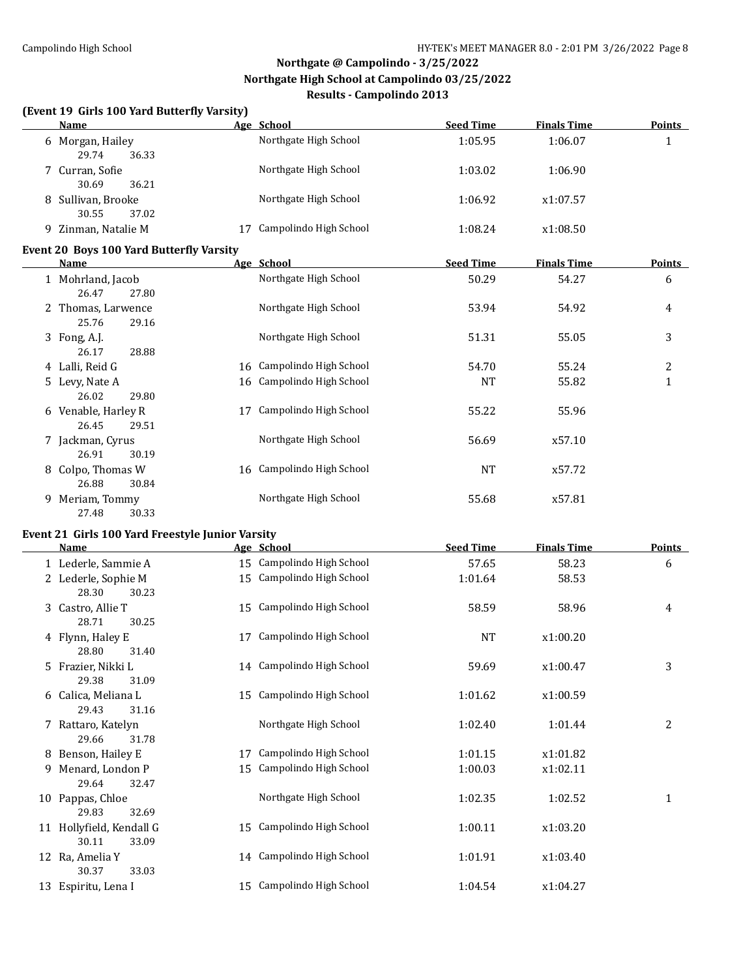### **(Event 19 Girls 100 Yard Butterfly Varsity)**

| <b>Name</b>                                      |    | Age School                | <b>Seed Time</b> | <b>Finals Time</b> | <b>Points</b>    |
|--------------------------------------------------|----|---------------------------|------------------|--------------------|------------------|
| 6 Morgan, Hailey<br>29.74<br>36.33               |    | Northgate High School     | 1:05.95          | 1:06.07            | $\mathbf{1}$     |
| 7 Curran, Sofie<br>30.69<br>36.21                |    | Northgate High School     | 1:03.02          | 1:06.90            |                  |
| 8 Sullivan, Brooke<br>30.55<br>37.02             |    | Northgate High School     | 1:06.92          | x1:07.57           |                  |
| 9 Zinman, Natalie M                              | 17 | Campolindo High School    | 1:08.24          | x1:08.50           |                  |
| Event 20 Boys 100 Yard Butterfly Varsity         |    |                           |                  |                    |                  |
| Name                                             |    | Age School                | <b>Seed Time</b> | <b>Finals Time</b> | <b>Points</b>    |
| 1 Mohrland, Jacob<br>26.47<br>27.80              |    | Northgate High School     | 50.29            | 54.27              | 6                |
| 2 Thomas, Larwence<br>25.76<br>29.16             |    | Northgate High School     | 53.94            | 54.92              | 4                |
| 3 Fong, A.J.<br>26.17<br>28.88                   |    | Northgate High School     | 51.31            | 55.05              | 3                |
| 4 Lalli, Reid G                                  |    | 16 Campolindo High School | 54.70            | 55.24              | $\overline{2}$   |
| 5 Levy, Nate A<br>26.02<br>29.80                 |    | 16 Campolindo High School | <b>NT</b>        | 55.82              | 1                |
| 6 Venable, Harley R<br>26.45<br>29.51            | 17 | Campolindo High School    | 55.22            | 55.96              |                  |
| 7 Jackman, Cyrus<br>26.91<br>30.19               |    | Northgate High School     | 56.69            | x57.10             |                  |
| 8 Colpo, Thomas W<br>26.88<br>30.84              |    | 16 Campolindo High School | <b>NT</b>        | x57.72             |                  |
| 9 Meriam, Tommy<br>27.48<br>30.33                |    | Northgate High School     | 55.68            | x57.81             |                  |
| Event 21 Girls 100 Yard Freestyle Junior Varsity |    |                           |                  |                    |                  |
| Name                                             |    | Age School                | <b>Seed Time</b> | <b>Finals Time</b> | <b>Points</b>    |
| 1 Lederle, Sammie A                              |    | 15 Campolindo High School | 57.65            | 58.23              | 6                |
| 2 Lederle, Sophie M<br>28.30<br>30.23            |    | 15 Campolindo High School | 1:01.64          | 58.53              |                  |
| 3 Castro, Allie T<br>28.71<br>30.25              |    | 15 Campolindo High School | 58.59            | 58.96              | 4                |
| 4 Flynn, Haley E<br>28.80<br>31.40               |    | 17 Campolindo High School | <b>NT</b>        | x1:00.20           |                  |
| 5 Frazier, Nikki L<br>29.38<br>31.09             |    | 14 Campolindo High School | 59.69            | x1:00.47           | 3                |
| 6 Calica, Meliana L<br>29.43<br>31.16            |    | 15 Campolindo High School | 1:01.62          | x1:00.59           |                  |
| 7 Rattaro, Katelyn<br>29.66<br>31.78             |    | Northgate High School     | 1:02.40          | 1:01.44            | $\boldsymbol{2}$ |
| 8 Benson, Hailey E                               | 17 | Campolindo High School    | 1:01.15          | x1:01.82           |                  |
| 9 Menard, London P<br>29.64<br>32.47             | 15 | Campolindo High School    | 1:00.03          | x1:02.11           |                  |
| 10 Pappas, Chloe<br>29.83<br>32.69               |    | Northgate High School     | 1:02.35          | 1:02.52            | $\mathbf{1}$     |
| 11 Hollyfield, Kendall G<br>33.09<br>30.11       | 15 | Campolindo High School    | 1:00.11          | x1:03.20           |                  |
| 12 Ra, Amelia Y<br>30.37<br>33.03                | 14 | Campolindo High School    | 1:01.91          | x1:03.40           |                  |
| 13 Espiritu, Lena I                              |    | 15 Campolindo High School | 1:04.54          | x1:04.27           |                  |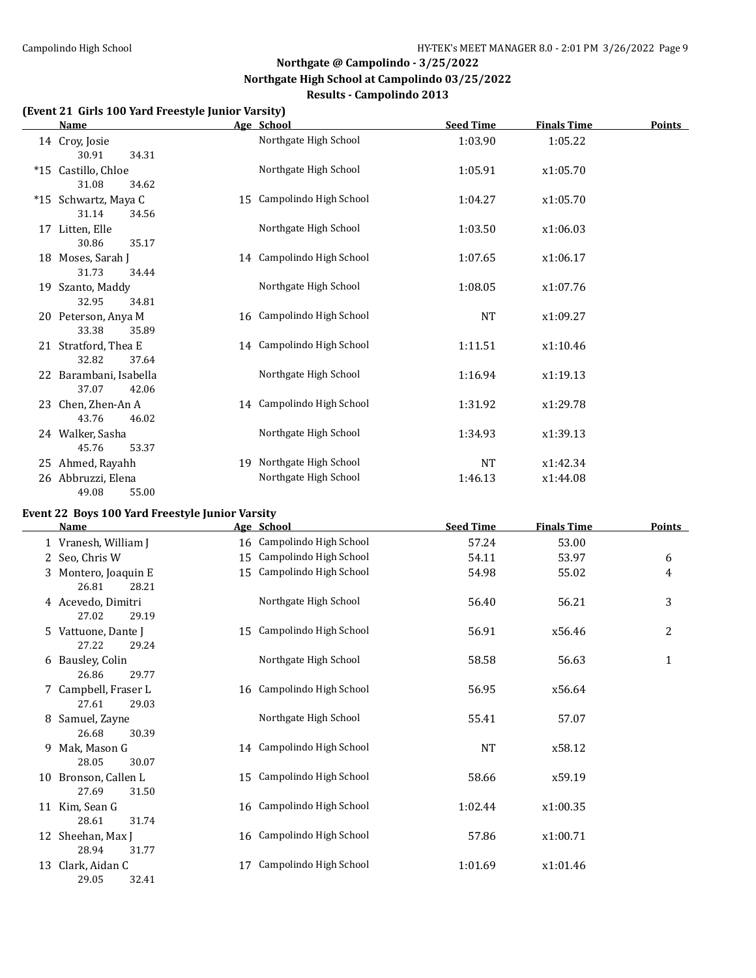#### **(Event 21 Girls 100 Yard Freestyle Junior Varsity)**

| <b>Name</b>                              |    | Age School                | <b>Seed Time</b> | <b>Finals Time</b> | <b>Points</b> |
|------------------------------------------|----|---------------------------|------------------|--------------------|---------------|
| 14 Croy, Josie<br>30.91<br>34.31         |    | Northgate High School     | 1:03.90          | 1:05.22            |               |
| *15 Castillo, Chloe                      |    | Northgate High School     | 1:05.91          | x1:05.70           |               |
| 31.08<br>34.62<br>*15 Schwartz, Maya C   |    | 15 Campolindo High School | 1:04.27          | x1:05.70           |               |
| 31.14<br>34.56<br>17 Litten, Elle        |    | Northgate High School     | 1:03.50          | x1:06.03           |               |
| 30.86<br>35.17<br>18 Moses, Sarah J      |    | 14 Campolindo High School | 1:07.65          | x1:06.17           |               |
| 31.73<br>34.44<br>19 Szanto, Maddy       |    | Northgate High School     | 1:08.05          | x1:07.76           |               |
| 32.95<br>34.81<br>20 Peterson, Anya M    |    | 16 Campolindo High School | <b>NT</b>        | x1:09.27           |               |
| 33.38<br>35.89<br>21 Stratford, Thea E   |    | 14 Campolindo High School | 1:11.51          | x1:10.46           |               |
| 32.82<br>37.64<br>22 Barambani, Isabella |    | Northgate High School     | 1:16.94          | x1:19.13           |               |
| 37.07<br>42.06                           |    |                           |                  |                    |               |
| 23 Chen, Zhen-An A<br>46.02<br>43.76     |    | 14 Campolindo High School | 1:31.92          | x1:29.78           |               |
| 24 Walker, Sasha<br>45.76<br>53.37       |    | Northgate High School     | 1:34.93          | x1:39.13           |               |
| 25 Ahmed, Rayahh                         | 19 | Northgate High School     | NT               | x1:42.34           |               |
| 26 Abbruzzi, Elena<br>49.08<br>55.00     |    | Northgate High School     | 1:46.13          | x1:44.08           |               |

### **Event 22 Boys 100 Yard Freestyle Junior Varsity**

|    | Name                                   |    | Age School                | <b>Seed Time</b> | <b>Finals Time</b> | <b>Points</b> |
|----|----------------------------------------|----|---------------------------|------------------|--------------------|---------------|
|    | 1 Vranesh, William J                   |    | 16 Campolindo High School | 57.24            | 53.00              |               |
|    | 2 Seo, Chris W                         |    | 15 Campolindo High School | 54.11            | 53.97              | 6             |
|    | 3 Montero, Joaquin E<br>26.81<br>28.21 |    | 15 Campolindo High School | 54.98            | 55.02              | 4             |
|    | 4 Acevedo, Dimitri<br>27.02<br>29.19   |    | Northgate High School     | 56.40            | 56.21              | 3             |
|    | 5 Vattuone, Dante J<br>27.22<br>29.24  |    | 15 Campolindo High School | 56.91            | x56.46             | 2             |
|    | 6 Bausley, Colin<br>26.86<br>29.77     |    | Northgate High School     | 58.58            | 56.63              | 1             |
|    | 7 Campbell, Fraser L<br>27.61<br>29.03 |    | 16 Campolindo High School | 56.95            | x56.64             |               |
| 8  | Samuel, Zayne<br>26.68<br>30.39        |    | Northgate High School     | 55.41            | 57.07              |               |
| 9  | Mak, Mason G<br>28.05<br>30.07         |    | 14 Campolindo High School | <b>NT</b>        | x58.12             |               |
| 10 | Bronson, Callen L<br>27.69<br>31.50    |    | 15 Campolindo High School | 58.66            | x59.19             |               |
|    | 11 Kim, Sean G<br>28.61<br>31.74       |    | 16 Campolindo High School | 1:02.44          | x1:00.35           |               |
| 12 | Sheehan, Max J<br>28.94<br>31.77       |    | 16 Campolindo High School | 57.86            | x1:00.71           |               |
| 13 | Clark, Aidan C<br>29.05<br>32.41       | 17 | Campolindo High School    | 1:01.69          | x1:01.46           |               |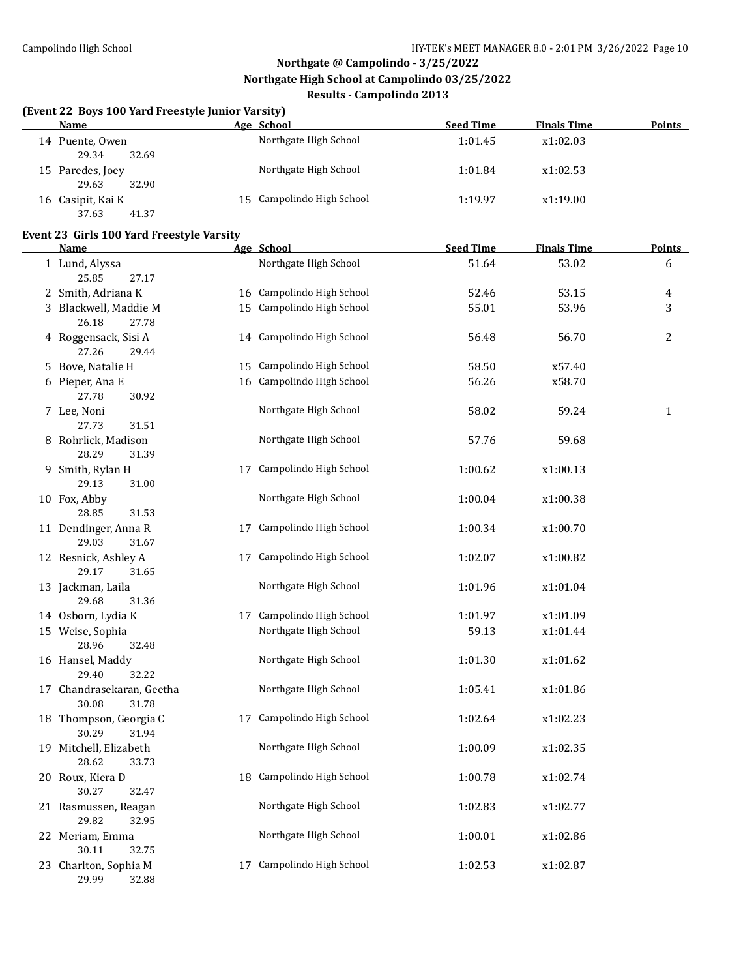#### **(Event 22 Boys 100 Yard Freestyle Junior Varsity)**

| Name                                | Age School                | <b>Seed Time</b> | <b>Finals Time</b> | <b>Points</b> |
|-------------------------------------|---------------------------|------------------|--------------------|---------------|
| 14 Puente, Owen<br>29.34<br>32.69   | Northgate High School     | 1:01.45          | x1:02.03           |               |
| 15 Paredes, Joey<br>29.63<br>32.90  | Northgate High School     | 1:01.84          | x1:02.53           |               |
| 16 Casipit, Kai K<br>37.63<br>41.37 | 15 Campolindo High School | 1:19.97          | x1:19.00           |               |

#### **Event 23 Girls 100 Yard Freestyle Varsity**

| <b>Name</b>                                 | Age School                | <b>Seed Time</b> | <b>Finals Time</b> | <b>Points</b>  |
|---------------------------------------------|---------------------------|------------------|--------------------|----------------|
| 1 Lund, Alyssa<br>25.85<br>27.17            | Northgate High School     | 51.64            | 53.02              | 6              |
| 2 Smith, Adriana K                          | 16 Campolindo High School | 52.46            | 53.15              | 4              |
| 3 Blackwell, Maddie M<br>26.18<br>27.78     | 15 Campolindo High School | 55.01            | 53.96              | 3              |
| 4 Roggensack, Sisi A<br>27.26<br>29.44      | 14 Campolindo High School | 56.48            | 56.70              | $\overline{2}$ |
| 5 Bove, Natalie H                           | 15 Campolindo High School | 58.50            | x57.40             |                |
| 6 Pieper, Ana E<br>27.78<br>30.92           | 16 Campolindo High School | 56.26            | x58.70             |                |
| 7 Lee, Noni<br>27.73<br>31.51               | Northgate High School     | 58.02            | 59.24              | $\mathbf{1}$   |
| 8 Rohrlick, Madison<br>28.29<br>31.39       | Northgate High School     | 57.76            | 59.68              |                |
| 9 Smith, Rylan H<br>29.13<br>31.00          | 17 Campolindo High School | 1:00.62          | x1:00.13           |                |
| 10 Fox, Abby<br>28.85<br>31.53              | Northgate High School     | 1:00.04          | x1:00.38           |                |
| 11 Dendinger, Anna R<br>29.03<br>31.67      | 17 Campolindo High School | 1:00.34          | x1:00.70           |                |
| 12 Resnick, Ashley A<br>29.17<br>31.65      | 17 Campolindo High School | 1:02.07          | x1:00.82           |                |
| 13 Jackman, Laila<br>29.68<br>31.36         | Northgate High School     | 1:01.96          | x1:01.04           |                |
| 14 Osborn, Lydia K                          | 17 Campolindo High School | 1:01.97          | x1:01.09           |                |
| 15 Weise, Sophia<br>28.96<br>32.48          | Northgate High School     | 59.13            | x1:01.44           |                |
| 16 Hansel, Maddy<br>29.40<br>32.22          | Northgate High School     | 1:01.30          | x1:01.62           |                |
| 17 Chandrasekaran, Geetha<br>30.08<br>31.78 | Northgate High School     | 1:05.41          | x1:01.86           |                |
| 18 Thompson, Georgia C<br>30.29<br>31.94    | 17 Campolindo High School | 1:02.64          | x1:02.23           |                |
| 19 Mitchell, Elizabeth<br>28.62<br>33.73    | Northgate High School     | 1:00.09          | x1:02.35           |                |
| 20 Roux, Kiera D<br>30.27<br>32.47          | 18 Campolindo High School | 1:00.78          | x1:02.74           |                |
| 21 Rasmussen, Reagan<br>29.82<br>32.95      | Northgate High School     | 1:02.83          | x1:02.77           |                |
| 22 Meriam, Emma<br>30.11<br>32.75           | Northgate High School     | 1:00.01          | x1:02.86           |                |
| 23 Charlton, Sophia M<br>29.99<br>32.88     | 17 Campolindo High School | 1:02.53          | x1:02.87           |                |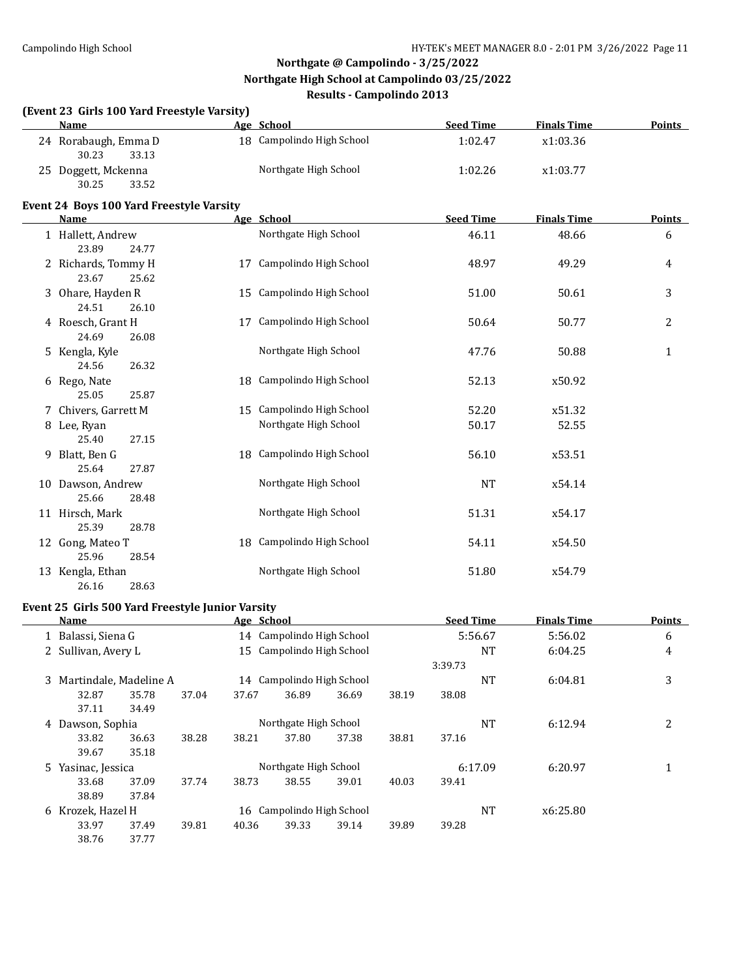### **(Event 23 Girls 100 Yard Freestyle Varsity) Name Age School Seed Time Finals Time Points** 24 Rorabaugh, Emma D 18 Campolindo High School 1:02.47 x1:03.36 30.23 33.13 25 Doggett, Mckenna Northgate High School 1:02.26 x1:03.77 30.25 33.52 **Event 24 Boys 100 Yard Freestyle Varsity Name Age School Seed Time Finals Time Points** 1 Hallett, Andrew **Northgate High School** 46.11 48.66 6 6 23.89 24.77 2 Richards, Tommy H 17 Campolindo High School 48.97 49.29 49.29 23.67 25.62 3 Ohare, Hayden R 15 Campolindo High School 51.00 50.61 3 24.51 26.10 4 Roesch, Grant H 17 Campolindo High School 50.64 50.77 2 24.69 26.08 5 Kengla, Kyle Northgate High School 47.76 50.88 1 24.56 26.32 6 Rego, Nate 18 Campolindo High School 52.13 x50.92 25.05 25.87 7 Chivers, Garrett M 15 Campolindo High School 52.20 x51.32 8 Lee, Ryan **Same School** School 50.17 52.55 25.40 27.15 9 Blatt, Ben G 18 Campolindo High School 56.10 x53.51 25.64 27.87 10 Dawson, Andrew **Northgate High School NT 354.14** NT  $\times$  54.14 25.66 28.48 11 Hirsch, Mark **Northgate High School** 51.31 x54.17 25.39 28.78 12 Gong, Mateo T 18 Campolindo High School 54.11 x54.50 25.96 28.54 13 Kengla, Ethan Northgate High School 51.80 x54.79 26.16 28.63

### **Event 25 Girls 500 Yard Freestyle Junior Varsity**

|   | Name                     |       |       | Age School                |                           |       |       | <b>Seed Time</b> |           | <b>Finals Time</b> | <b>Points</b> |
|---|--------------------------|-------|-------|---------------------------|---------------------------|-------|-------|------------------|-----------|--------------------|---------------|
|   | 1 Balassi, Siena G       |       |       |                           | 14 Campolindo High School |       |       | 5:56.67          |           | 5:56.02            | 6             |
|   | 2 Sullivan, Avery L      |       |       | 15 Campolindo High School |                           |       |       |                  | <b>NT</b> | 6:04.25            | 4             |
|   |                          |       |       |                           |                           |       |       | 3:39.73          |           |                    |               |
|   | 3 Martindale, Madeline A |       |       |                           | 14 Campolindo High School |       |       |                  | <b>NT</b> | 6:04.81            | 3             |
|   | 32.87                    | 35.78 | 37.04 | 37.67                     | 36.89                     | 36.69 | 38.19 | 38.08            |           |                    |               |
|   | 37.11                    | 34.49 |       |                           |                           |       |       |                  |           |                    |               |
| 4 | Dawson, Sophia           |       |       |                           | Northgate High School     |       |       |                  | <b>NT</b> | 6:12.94            | 2             |
|   | 33.82                    | 36.63 | 38.28 | 38.21                     | 37.80                     | 37.38 | 38.81 | 37.16            |           |                    |               |
|   | 39.67                    | 35.18 |       |                           |                           |       |       |                  |           |                    |               |
|   | 5 Yasinac, Jessica       |       |       |                           | Northgate High School     |       |       | 6:17.09          |           | 6:20.97            | 1             |
|   | 33.68                    | 37.09 | 37.74 | 38.73                     | 38.55                     | 39.01 | 40.03 | 39.41            |           |                    |               |
|   | 38.89                    | 37.84 |       |                           |                           |       |       |                  |           |                    |               |
| 6 | Krozek, Hazel H          |       |       |                           | 16 Campolindo High School |       |       |                  | NT        | x6:25.80           |               |
|   | 33.97                    | 37.49 | 39.81 | 40.36                     | 39.33                     | 39.14 | 39.89 | 39.28            |           |                    |               |
|   | 38.76                    | 37.77 |       |                           |                           |       |       |                  |           |                    |               |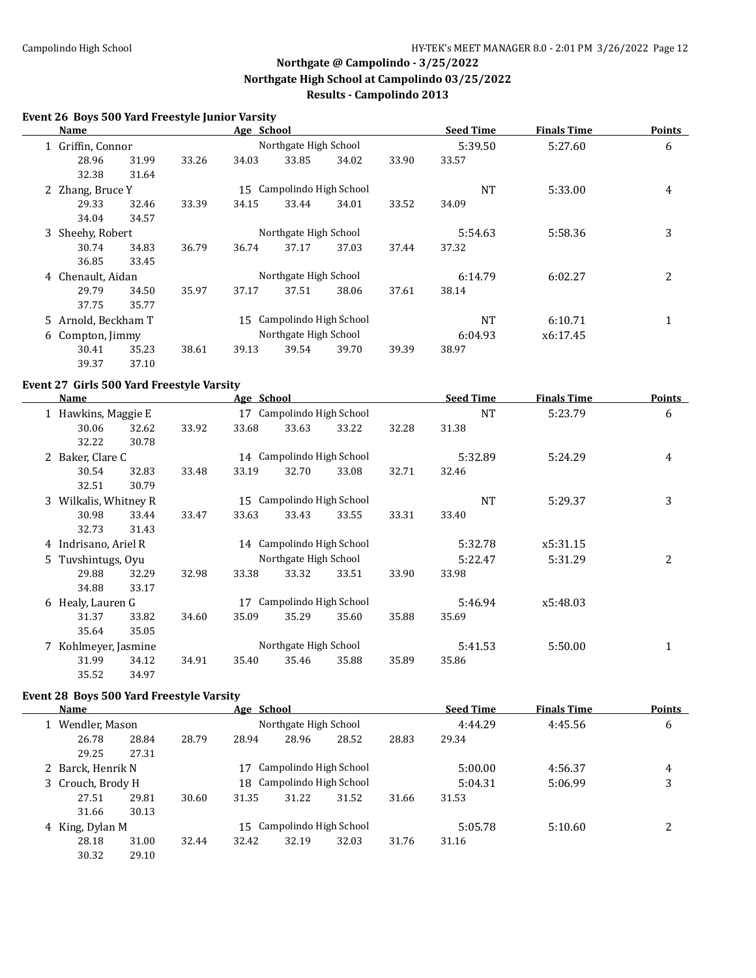#### **Event 26 Boys 500 Yard Freestyle Junior Varsity**

| Name                |                  |       | Age School            |                           |         |          | <b>Seed Time</b> | <b>Finals Time</b> | <b>Points</b> |
|---------------------|------------------|-------|-----------------------|---------------------------|---------|----------|------------------|--------------------|---------------|
| 1 Griffin, Connor   |                  |       |                       | Northgate High School     |         |          | 5:39.50          | 5:27.60            | 6             |
| 28.96               | 31.99            | 33.26 | 34.03                 | 33.85                     | 34.02   | 33.90    | 33.57            |                    |               |
| 32.38               | 31.64            |       |                       |                           |         |          |                  |                    |               |
| 2 Zhang, Bruce Y    |                  |       |                       | 15 Campolindo High School |         |          | NT               | 5:33.00            | 4             |
| 29.33               | 32.46            | 33.39 | 34.15                 | 33.44                     | 34.01   | 33.52    | 34.09            |                    |               |
| 34.04               | 34.57            |       |                       |                           |         |          |                  |                    |               |
|                     | 3 Sheehy, Robert |       |                       | Northgate High School     |         |          | 5:54.63          | 5:58.36            | 3             |
| 30.74               | 34.83            | 36.79 | 36.74                 | 37.17                     | 37.03   | 37.44    | 37.32            |                    |               |
| 36.85               | 33.45            |       |                       |                           |         |          |                  |                    |               |
| 4 Chenault, Aidan   |                  |       |                       | Northgate High School     |         |          | 6:14.79          | 6:02.27            | 2             |
| 29.79               | 34.50            | 35.97 | 37.17                 | 37.51                     | 38.06   | 37.61    | 38.14            |                    |               |
| 37.75               | 35.77            |       |                       |                           |         |          |                  |                    |               |
| 5 Arnold, Beckham T |                  |       | 15                    | Campolindo High School    |         |          | NT               | 6:10.71            | $\mathbf{1}$  |
| 6 Compton, Jimmy    |                  |       | Northgate High School |                           | 6:04.93 | x6:17.45 |                  |                    |               |
| 30.41               | 35.23            | 38.61 | 39.13                 | 39.54                     | 39.70   | 39.39    | 38.97            |                    |               |
| 39.37               | 37.10            |       |                       |                           |         |          |                  |                    |               |

#### **Event 27 Girls 500 Yard Freestyle Varsity**

| Name                  |                |       |                       | Age School                |       |         | <b>Seed Time</b> | <b>Finals Time</b> | <b>Points</b> |
|-----------------------|----------------|-------|-----------------------|---------------------------|-------|---------|------------------|--------------------|---------------|
| 1 Hawkins, Maggie E   |                |       |                       | 17 Campolindo High School |       |         | <b>NT</b>        | 5:23.79            | 6             |
| 30.06<br>32.22        | 32.62<br>30.78 | 33.92 | 33.68                 | 33.63                     | 33.22 | 32.28   | 31.38            |                    |               |
| 2 Baker, Clare C      |                |       |                       | 14 Campolindo High School |       |         | 5:32.89          | 5:24.29            | 4             |
| 30.54                 | 32.83          | 33.48 | 33.19                 | 32.70                     | 33.08 | 32.71   | 32.46            |                    |               |
| 32.51                 | 30.79          |       |                       |                           |       |         |                  |                    |               |
| 3 Wilkalis, Whitney R |                |       | 15                    | Campolindo High School    |       |         | NT               | 5:29.37            | 3             |
| 30.98                 | 33.44          | 33.47 | 33.63                 | 33.43                     | 33.55 | 33.31   | 33.40            |                    |               |
| 32.73                 | 31.43          |       |                       |                           |       |         |                  |                    |               |
| 4 Indrisano, Ariel R  |                |       |                       | 14 Campolindo High School |       |         | 5:32.78          | x5:31.15           |               |
| 5 Tuvshintugs, Oyu    |                |       |                       | Northgate High School     |       |         | 5:22.47          | 5:31.29            | 2             |
| 29.88                 | 32.29          | 32.98 | 33.38                 | 33.32                     | 33.51 | 33.90   | 33.98            |                    |               |
| 34.88                 | 33.17          |       |                       |                           |       |         |                  |                    |               |
| 6 Healy, Lauren G     |                |       | 17                    | Campolindo High School    |       |         | 5:46.94          | x5:48.03           |               |
| 31.37                 | 33.82          | 34.60 | 35.09                 | 35.29                     | 35.60 | 35.88   | 35.69            |                    |               |
| 35.64                 | 35.05          |       |                       |                           |       |         |                  |                    |               |
| 7 Kohlmeyer, Jasmine  |                |       | Northgate High School |                           |       | 5:41.53 | 5:50.00          |                    |               |
| 31.99                 | 34.12          | 34.91 | 35.40                 | 35.46                     | 35.88 | 35.89   | 35.86            |                    |               |
| 35.52                 | 34.97          |       |                       |                           |       |         |                  |                    |               |

### **Event 28 Boys 500 Yard Freestyle Varsity**

| <b>Name</b>       |       |       | Age School |                           |       |       | <b>Seed Time</b>   | <b>Finals Time</b> | <b>Points</b> |
|-------------------|-------|-------|------------|---------------------------|-------|-------|--------------------|--------------------|---------------|
| 1 Wendler, Mason  |       |       |            | Northgate High School     |       |       | 4:44.29<br>4:45.56 |                    | 6             |
| 26.78             | 28.84 | 28.79 | 28.94      | 28.96                     | 28.52 | 28.83 | 29.34              |                    |               |
| 29.25             | 27.31 |       |            |                           |       |       |                    |                    |               |
| 2 Barck, Henrik N |       |       | 17         | Campolindo High School    |       |       | 5:00.00            | 4:56.37            | 4             |
| 3 Crouch, Brody H |       |       |            | 18 Campolindo High School |       |       | 5:04.31            | 5:06.99            | 3             |
| 27.51             | 29.81 | 30.60 | 31.35      | 31.22                     | 31.52 | 31.66 | 31.53              |                    |               |
| 31.66             | 30.13 |       |            |                           |       |       |                    |                    |               |
| 4 King, Dylan M   |       |       |            | 15 Campolindo High School |       |       | 5:05.78            | 5:10.60            | າ             |
| 28.18             | 31.00 | 32.44 | 32.42      | 32.19                     | 32.03 | 31.76 | 31.16              |                    |               |
| 30.32             | 29.10 |       |            |                           |       |       |                    |                    |               |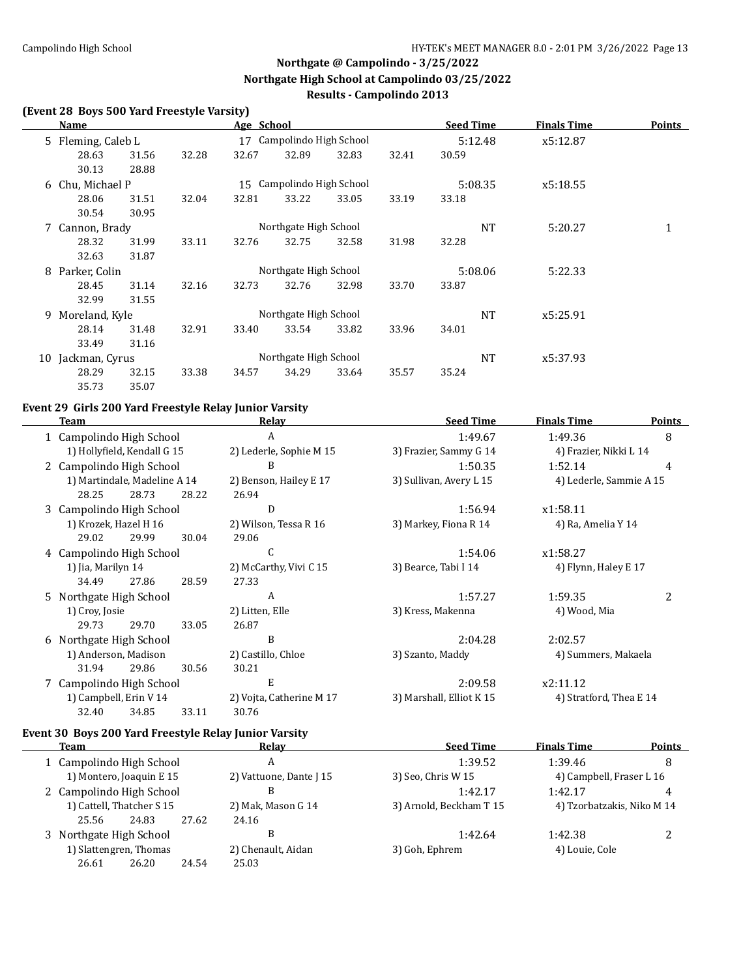$\overline{\phantom{0}}$ 

# **Northgate @ Campolindo - 3/25/2022 Northgate High School at Campolindo 03/25/2022 Results - Campolindo 2013**

#### **(Event 28 Boys 500 Yard Freestyle Varsity)**

|   | Name               |       |       | Age School            |                           |           |          | <b>Seed Time</b> | <b>Finals Time</b> | <b>Points</b> |
|---|--------------------|-------|-------|-----------------------|---------------------------|-----------|----------|------------------|--------------------|---------------|
|   | 5 Fleming, Caleb L |       |       |                       | 17 Campolindo High School |           |          | 5:12.48          | x5:12.87           |               |
|   | 28.63              | 31.56 | 32.28 | 32.67                 | 32.89                     | 32.83     | 32.41    | 30.59            |                    |               |
|   | 30.13              | 28.88 |       |                       |                           |           |          |                  |                    |               |
|   | 6 Chu, Michael P   |       |       |                       | 15 Campolindo High School |           |          | 5:08.35          | x5:18.55           |               |
|   | 28.06              | 31.51 | 32.04 | 32.81                 | 33.22                     | 33.05     | 33.19    | 33.18            |                    |               |
|   | 30.54              | 30.95 |       |                       |                           |           |          |                  |                    |               |
|   | 7 Cannon, Brady    |       |       |                       | Northgate High School     |           |          | NT               | 5:20.27            | $\mathbf{1}$  |
|   | 28.32              | 31.99 | 33.11 | 32.76                 | 32.75                     | 32.58     | 31.98    | 32.28            |                    |               |
|   | 32.63              | 31.87 |       |                       |                           |           |          |                  |                    |               |
|   | 8 Parker, Colin    |       |       |                       | Northgate High School     |           |          | 5:08.06          | 5:22.33            |               |
|   | 28.45              | 31.14 | 32.16 | 32.73                 | 32.76                     | 32.98     | 33.70    | 33.87            |                    |               |
|   | 32.99              | 31.55 |       |                       |                           |           |          |                  |                    |               |
| 9 | Moreland, Kyle     |       |       |                       | Northgate High School     |           |          | <b>NT</b>        | x5:25.91           |               |
|   | 28.14              | 31.48 | 32.91 | 33.40                 | 33.54                     | 33.82     | 33.96    | 34.01            |                    |               |
|   | 33.49              | 31.16 |       |                       |                           |           |          |                  |                    |               |
|   | 10 Jackman, Cyrus  |       |       | Northgate High School |                           | <b>NT</b> | x5:37.93 |                  |                    |               |
|   | 28.29              | 32.15 | 33.38 | 34.57                 | 34.29                     | 33.64     | 35.57    | 35.24            |                    |               |
|   | 35.73              | 35.07 |       |                       |                           |           |          |                  |                    |               |

# **Event 29 Girls 200 Yard Freestyle Relay Junior Varsity**

| Team                         |                                                      |       | Relay                    | <b>Seed Time</b>         | <b>Finals Time</b>      | <b>Points</b> |
|------------------------------|------------------------------------------------------|-------|--------------------------|--------------------------|-------------------------|---------------|
| 1 Campolindo High School     |                                                      |       | A                        | 1:49.67                  | 1:49.36                 | 8             |
| 1) Hollyfield, Kendall G 15  |                                                      |       | 2) Lederle, Sophie M 15  | 3) Frazier, Sammy G 14   | 4) Frazier, Nikki L 14  |               |
| 2 Campolindo High School     |                                                      |       | B                        | 1:50.35                  | 1:52.14                 | 4             |
| 1) Martindale, Madeline A 14 |                                                      |       | 2) Benson, Hailey E 17   | 3) Sullivan, Avery L 15  | 4) Lederle, Sammie A 15 |               |
| 28.25                        | 28.73                                                | 28.22 | 26.94                    |                          |                         |               |
| 3 Campolindo High School     |                                                      |       | D                        | 1:56.94                  | x1:58.11                |               |
| 1) Krozek, Hazel H 16        |                                                      |       | 2) Wilson, Tessa R 16    | 3) Markey, Fiona R 14    | 4) Ra, Amelia Y 14      |               |
| 29.02                        | 29.99                                                | 30.04 | 29.06                    |                          |                         |               |
| 4 Campolindo High School     |                                                      |       | C                        | 1:54.06                  | x1:58.27                |               |
| 1) Jia, Marilyn 14           |                                                      |       | 2) McCarthy, Vivi C 15   | 3) Bearce, Tabi I 14     | 4) Flynn, Haley E 17    |               |
| 34.49                        | 27.86                                                | 28.59 | 27.33                    |                          |                         |               |
| 5 Northgate High School      |                                                      |       | A                        | 1:57.27                  | 1:59.35                 | 2             |
| 1) Croy, Josie               |                                                      |       | 2) Litten, Elle          | 3) Kress, Makenna        | 4) Wood, Mia            |               |
| 29.73                        | 29.70                                                | 33.05 | 26.87                    |                          |                         |               |
| 6 Northgate High School      |                                                      |       | B                        | 2:04.28                  | 2:02.57                 |               |
| 1) Anderson, Madison         |                                                      |       | 2) Castillo, Chloe       | 3) Szanto, Maddy         | 4) Summers, Makaela     |               |
| 31.94                        | 29.86                                                | 30.56 | 30.21                    |                          |                         |               |
|                              | E<br>7 Campolindo High School<br>2:09.58<br>x2:11.12 |       |                          |                          |                         |               |
| 1) Campbell, Erin V 14       |                                                      |       | 2) Vojta, Catherine M 17 | 3) Marshall, Elliot K 15 | 4) Stratford, Thea E 14 |               |
| 32.40                        | 34.85                                                | 33.11 | 30.76                    |                          |                         |               |

## **Event 30 Boys 200 Yard Freestyle Relay Junior Varsity**

|  | <b>Team</b>                                                                  |       |                    | Relav                   | <b>Seed Time</b>        | <b>Finals Time</b>         | <b>Points</b> |  |
|--|------------------------------------------------------------------------------|-------|--------------------|-------------------------|-------------------------|----------------------------|---------------|--|
|  | 1 Campolindo High School                                                     |       |                    | A                       | 1:39.52                 | 1:39.46                    | 8             |  |
|  | 1) Montero, Joaquin E 15                                                     |       |                    | 2) Vattuone, Dante J 15 | 3) Seo, Chris W 15      | 4) Campbell, Fraser L 16   |               |  |
|  | 2 Campolindo High School                                                     |       |                    | В                       | 1:42.17                 | 1:42.17                    | 4             |  |
|  | 1) Cattell, Thatcher S 15                                                    |       |                    | 2) Mak, Mason G 14      | 3) Arnold, Beckham T 15 | 4) Tzorbatzakis, Niko M 14 |               |  |
|  | 25.56                                                                        | 24.83 | 27.62              | 24.16                   |                         |                            |               |  |
|  | 3 Northgate High School<br>1) Slattengren, Thomas<br>26.20<br>24.54<br>26.61 |       |                    | В                       | 1:42.64                 | 1:42.38                    | 2             |  |
|  |                                                                              |       | 2) Chenault, Aidan |                         | 3) Goh, Ephrem          | 4) Louie, Cole             |               |  |
|  |                                                                              |       | 25.03              |                         |                         |                            |               |  |
|  |                                                                              |       |                    |                         |                         |                            |               |  |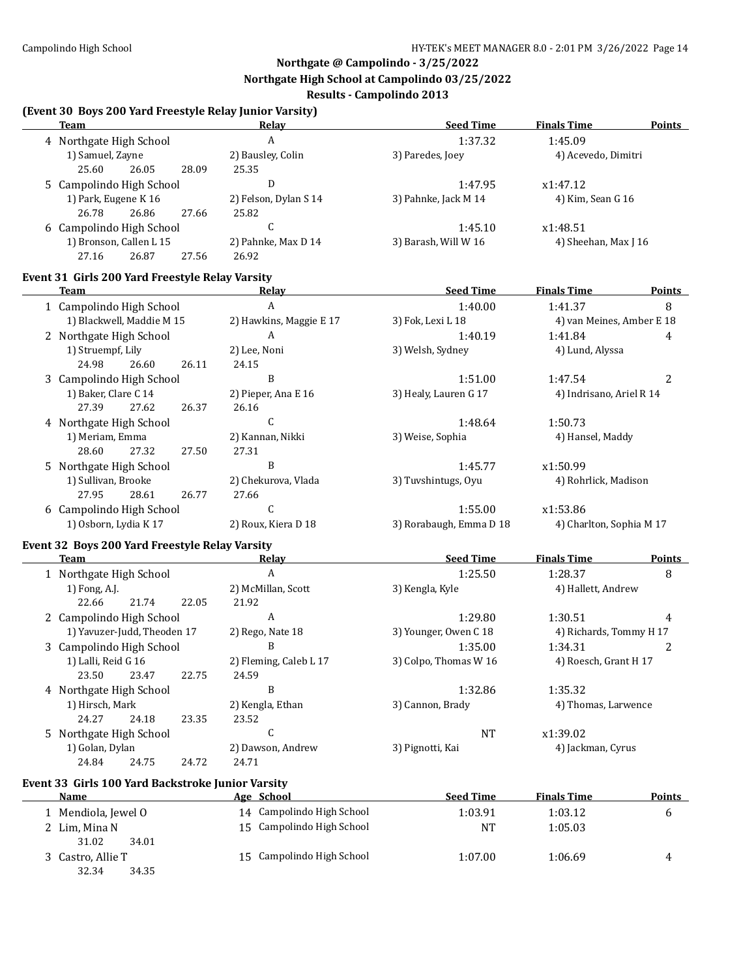### **Northgate @ Campolindo - 3/25/2022**

**Northgate High School at Campolindo 03/25/2022**

### **Results - Campolindo 2013**

# **(Event 30 Boys 200 Yard Freestyle Relay Junior Varsity)**

32.34 34.35

| (Event 50 Doys 200 Taru Preestyle Nelay Junior Varsity)<br><b>Team</b> | Relay                      | <b>Seed Time</b>        | <b>Finals Time</b>        | <b>Points</b> |
|------------------------------------------------------------------------|----------------------------|-------------------------|---------------------------|---------------|
| 4 Northgate High School                                                | A                          | 1:37.32                 | 1:45.09                   |               |
| 1) Samuel, Zayne                                                       | 2) Bausley, Colin          | 3) Paredes, Joey        | 4) Acevedo, Dimitri       |               |
| 25.60<br>26.05<br>28.09                                                | 25.35                      |                         |                           |               |
| 5 Campolindo High School                                               | ${\bf D}$                  | 1:47.95                 | x1:47.12                  |               |
| 1) Park, Eugene K 16                                                   | 2) Felson, Dylan S 14      | 3) Pahnke, Jack M 14    | 4) Kim, Sean G 16         |               |
| 26.86<br>26.78<br>27.66                                                | 25.82                      |                         |                           |               |
| 6 Campolindo High School                                               | C                          | 1:45.10                 | x1:48.51                  |               |
| 1) Bronson, Callen L 15                                                | 2) Pahnke, Max D 14        | 3) Barash, Will W 16    | 4) Sheehan, Max J 16      |               |
| 27.16<br>26.87<br>27.56                                                | 26.92                      |                         |                           |               |
| Event 31 Girls 200 Yard Freestyle Relay Varsity                        |                            |                         |                           |               |
| <b>Team</b>                                                            | Relay                      | <b>Seed Time</b>        | <b>Finals Time</b>        | <b>Points</b> |
| 1 Campolindo High School                                               | $\boldsymbol{A}$           | 1:40.00                 | 1:41.37                   | 8             |
| 1) Blackwell, Maddie M 15                                              | 2) Hawkins, Maggie E 17    | 3) Fok, Lexi L 18       | 4) van Meines, Amber E 18 |               |
| 2 Northgate High School                                                | $\boldsymbol{A}$           | 1:40.19                 | 1:41.84                   | 4             |
| 1) Struempf, Lily                                                      | 2) Lee, Noni               | 3) Welsh, Sydney        | 4) Lund, Alyssa           |               |
| 24.98<br>26.60<br>26.11                                                | 24.15                      |                         |                           |               |
| 3 Campolindo High School                                               | B                          | 1:51.00                 | 1:47.54                   | 2             |
| 1) Baker, Clare C 14                                                   | 2) Pieper, Ana E 16        | 3) Healy, Lauren G 17   | 4) Indrisano, Ariel R 14  |               |
| 27.39<br>27.62<br>26.37                                                | 26.16                      |                         |                           |               |
| 4 Northgate High School                                                | $\mathsf{C}$               | 1:48.64                 | 1:50.73                   |               |
| 1) Meriam, Emma                                                        | 2) Kannan, Nikki           | 3) Weise, Sophia        | 4) Hansel, Maddy          |               |
| 28.60<br>27.32<br>27.50                                                | 27.31                      |                         |                           |               |
| 5 Northgate High School                                                | B                          | 1:45.77                 | x1:50.99                  |               |
| 1) Sullivan, Brooke                                                    | 2) Chekurova, Vlada        | 3) Tuvshintugs, Oyu     | 4) Rohrlick, Madison      |               |
| 27.95<br>28.61<br>26.77                                                | 27.66                      |                         |                           |               |
| 6 Campolindo High School                                               | $\mathsf{C}$               | 1:55.00                 | x1:53.86                  |               |
| 1) Osborn, Lydia K 17                                                  | 2) Roux, Kiera D 18        | 3) Rorabaugh, Emma D 18 | 4) Charlton, Sophia M 17  |               |
| Event 32 Boys 200 Yard Freestyle Relay Varsity                         |                            |                         |                           |               |
| Team                                                                   | <u>Relav</u>               | <b>Seed Time</b>        | <b>Finals Time</b>        | <b>Points</b> |
| 1 Northgate High School                                                | A                          | 1:25.50                 | 1:28.37                   | 8             |
| 1) Fong, A.J.                                                          | 2) McMillan, Scott         | 3) Kengla, Kyle         | 4) Hallett, Andrew        |               |
| 22.66<br>21.74<br>22.05                                                | 21.92                      |                         |                           |               |
| 2 Campolindo High School                                               | $\boldsymbol{A}$           | 1:29.80                 | 1:30.51                   | 4             |
| 1) Yavuzer-Judd, Theoden 17                                            | 2) Rego, Nate 18           | 3) Younger, Owen C 18   | 4) Richards, Tommy H 17   |               |
| 3 Campolindo High School                                               | B                          | 1:35.00                 | 1:34.31                   | 2             |
| 1) Lalli, Reid G 16                                                    | 2) Fleming, Caleb L 17     | 3) Colpo, Thomas W 16   | 4) Roesch, Grant H 17     |               |
| 23.50<br>23.47<br>22.75                                                | 24.59                      |                         |                           |               |
| 4 Northgate High School                                                | B                          | 1:32.86                 | 1:35.32                   |               |
| 1) Hirsch, Mark                                                        | 2) Kengla, Ethan           | 3) Cannon, Brady        | 4) Thomas, Larwence       |               |
| 24.27<br>24.18<br>23.35                                                | 23.52                      |                         |                           |               |
| 5 Northgate High School                                                | $\mathsf C$                | <b>NT</b>               | x1:39.02                  |               |
| 1) Golan, Dylan<br>24.84                                               | 2) Dawson, Andrew<br>24.71 | 3) Pignotti, Kai        | 4) Jackman, Cyrus         |               |
| 24.75<br>24.72                                                         |                            |                         |                           |               |
| Event 33 Girls 100 Yard Backstroke Junior Varsity<br>Name              | Age School                 | <b>Seed Time</b>        | <b>Finals Time</b>        | <b>Points</b> |
|                                                                        | 14 Campolindo High School  | 1:03.91                 | 1:03.12                   |               |
| 1 Mendiola, Jewel O                                                    | 15 Campolindo High School  |                         |                           | 6             |
| 2 Lim, Mina N<br>31.02<br>34.01                                        |                            | <b>NT</b>               | 1:05.03                   |               |
| 3 Castro, Allie T                                                      | 15 Campolindo High School  | 1:07.00                 | 1:06.69                   |               |
|                                                                        |                            |                         |                           | 4             |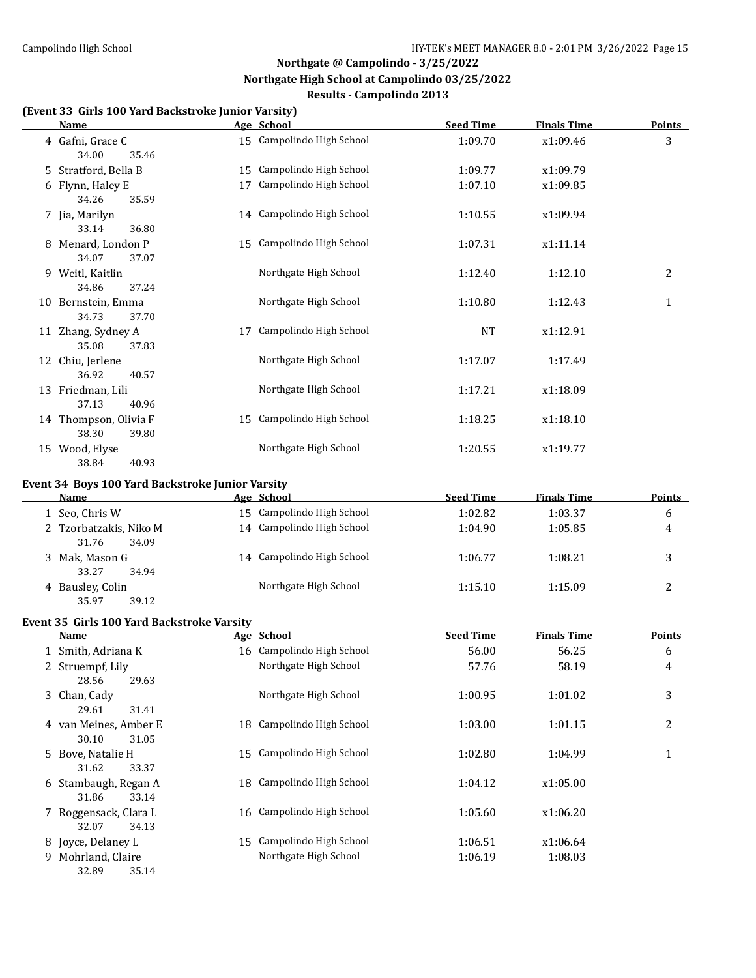### **(Event 33 Girls 100 Yard Backstroke Junior Varsity)**

| <b>Name</b>                                              |    | Age School                | <b>Seed Time</b> | <b>Finals Time</b> | <b>Points</b> |
|----------------------------------------------------------|----|---------------------------|------------------|--------------------|---------------|
| 4 Gafni, Grace C<br>34.00<br>35.46                       |    | 15 Campolindo High School | 1:09.70          | x1:09.46           | 3             |
| 5 Stratford, Bella B                                     |    | 15 Campolindo High School | 1:09.77          | x1:09.79           |               |
| 6 Flynn, Haley E<br>34.26<br>35.59                       |    | 17 Campolindo High School | 1:07.10          | x1:09.85           |               |
| 7 Jia, Marilyn<br>33.14<br>36.80                         |    | 14 Campolindo High School | 1:10.55          | x1:09.94           |               |
| 8 Menard, London P<br>34.07<br>37.07                     |    | 15 Campolindo High School | 1:07.31          | x1:11.14           |               |
| 9 Weitl, Kaitlin<br>34.86<br>37.24                       |    | Northgate High School     | 1:12.40          | 1:12.10            | 2             |
| 10 Bernstein, Emma<br>34.73<br>37.70                     |    | Northgate High School     | 1:10.80          | 1:12.43            | $\mathbf{1}$  |
| 11 Zhang, Sydney A<br>35.08<br>37.83                     | 17 | Campolindo High School    | <b>NT</b>        | x1:12.91           |               |
| 12 Chiu, Jerlene<br>36.92<br>40.57                       |    | Northgate High School     | 1:17.07          | 1:17.49            |               |
| 13 Friedman, Lili<br>37.13<br>40.96                      |    | Northgate High School     | 1:17.21          | x1:18.09           |               |
| 14 Thompson, Olivia F<br>38.30<br>39.80                  |    | 15 Campolindo High School | 1:18.25          | x1:18.10           |               |
| 15 Wood, Elyse<br>38.84<br>40.93                         |    | Northgate High School     | 1:20.55          | x1:19.77           |               |
|                                                          |    |                           |                  |                    |               |
| Event 34 Boys 100 Yard Backstroke Junior Varsity<br>Name |    | Age School                | <b>Seed Time</b> | <b>Finals Time</b> | <b>Points</b> |
| 1 Seo, Chris W                                           |    | 15 Campolindo High School | 1:02.82          | 1:03.37            | 6             |
| 2 Tzorbatzakis, Niko M<br>31.76<br>34.09                 |    | 14 Campolindo High School | 1:04.90          | 1:05.85            | 4             |
| 3 Mak, Mason G<br>33.27<br>34.94                         |    | 14 Campolindo High School | 1:06.77          | 1:08.21            | 3             |
| 4 Bausley, Colin<br>35.97<br>39.12                       |    | Northgate High School     | 1:15.10          | 1:15.09            | 2             |
| Event 35 Girls 100 Yard Backstroke Varsity               |    |                           |                  |                    |               |
| Name                                                     |    | Age School                | <b>Seed Time</b> | <b>Finals Time</b> | <b>Points</b> |
| 1 Smith, Adriana K                                       |    | 16 Campolindo High School | 56.00            | 56.25              | 6             |
| 2 Struempf, Lily<br>28.56<br>29.63                       |    | Northgate High School     | 57.76            | 58.19              | 4             |
| 3 Chan, Cady<br>29.61<br>31.41                           |    | Northgate High School     | 1:00.95          | 1:01.02            | 3             |
| 4 van Meines, Amber E<br>30.10<br>31.05                  | 18 | Campolindo High School    | 1:03.00          | 1:01.15            | 2             |
| 5 Bove, Natalie H<br>31.62<br>33.37                      | 15 | Campolindo High School    | 1:02.80          | 1:04.99            | $\mathbf{1}$  |
| 6 Stambaugh, Regan A<br>31.86<br>33.14                   | 18 | Campolindo High School    | 1:04.12          | x1:05.00           |               |
| 7 Roggensack, Clara L<br>32.07<br>34.13                  | 16 | Campolindo High School    | 1:05.60          | x1:06.20           |               |
| 8 Joyce, Delaney L                                       |    | 15 Campolindo High School | 1:06.51          | x1:06.64           |               |
| 9 Mohrland, Claire<br>32.89<br>35.14                     |    | Northgate High School     | 1:06.19          | 1:08.03            |               |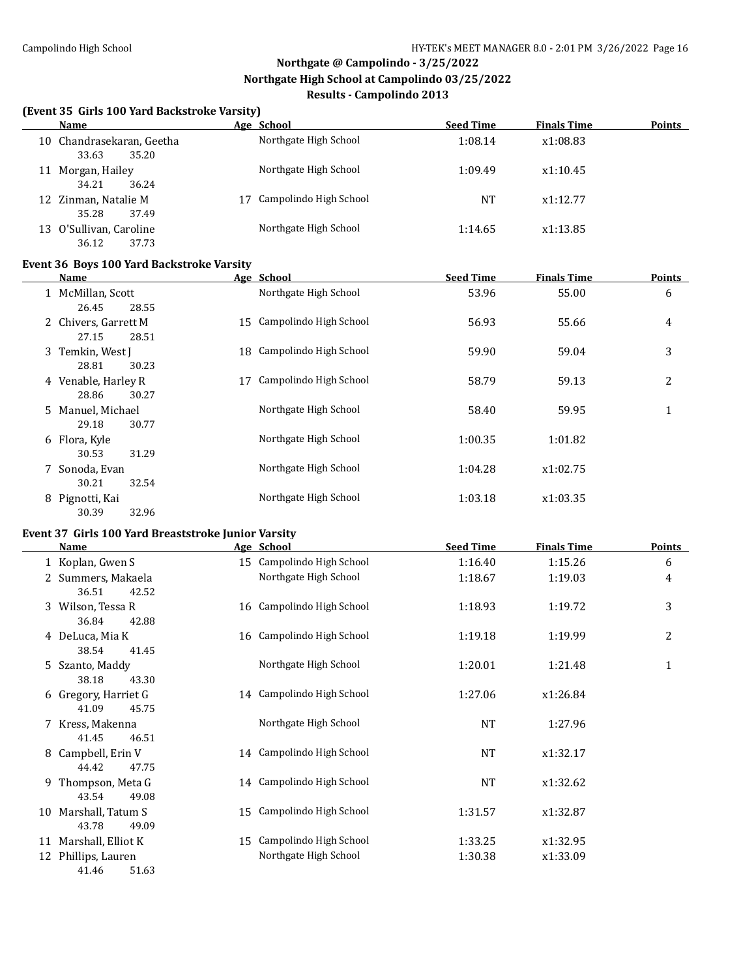$\overline{a}$ 

# **Northgate @ Campolindo - 3/25/2022 Northgate High School at Campolindo 03/25/2022 Results - Campolindo 2013**

#### **(Event 35 Girls 100 Yard Backstroke Varsity)**

| Name                                        | Age School                   | <b>Seed Time</b> | <b>Finals Time</b> | <b>Points</b> |
|---------------------------------------------|------------------------------|------------------|--------------------|---------------|
| 10 Chandrasekaran, Geetha<br>35.20<br>33.63 | Northgate High School        | 1:08.14          | x1:08.83           |               |
| Morgan, Hailey<br>11<br>34.21<br>36.24      | Northgate High School        | 1:09.49          | x1:10.45           |               |
| 12 Zinman, Natalie M<br>35.28<br>37.49      | Campolindo High School<br>17 | <b>NT</b>        | x1:12.77           |               |
| 13 O'Sullivan, Caroline<br>36.12<br>37.73   | Northgate High School        | 1:14.65          | x1:13.85           |               |

### **Event 36 Boys 100 Yard Backstroke Varsity**

|   | Name                                   | Age School                   | <b>Seed Time</b> | <b>Finals Time</b> | <b>Points</b> |
|---|----------------------------------------|------------------------------|------------------|--------------------|---------------|
|   | McMillan, Scott<br>26.45<br>28.55      | Northgate High School        | 53.96            | 55.00              | 6             |
|   | 2 Chivers, Garrett M<br>27.15<br>28.51 | Campolindo High School<br>15 | 56.93            | 55.66              | 4             |
|   | 3 Temkin, West J<br>28.81<br>30.23     | Campolindo High School<br>18 | 59.90            | 59.04              | 3             |
|   | 4 Venable, Harley R<br>28.86<br>30.27  | Campolindo High School<br>17 | 58.79            | 59.13              | 2             |
|   | 5 Manuel, Michael<br>29.18<br>30.77    | Northgate High School        | 58.40            | 59.95              | 1             |
|   | 6 Flora, Kyle<br>31.29<br>30.53        | Northgate High School        | 1:00.35          | 1:01.82            |               |
| 7 | Sonoda, Evan<br>30.21<br>32.54         | Northgate High School        | 1:04.28          | x1:02.75           |               |
| 8 | Pignotti, Kai<br>30.39<br>32.96        | Northgate High School        | 1:03.18          | x1:03.35           |               |

# **Event 37 Girls 100 Yard Breaststroke Junior Varsity**

|    | Name                 | Age School                | <b>Seed Time</b> | <b>Finals Time</b> | <b>Points</b> |
|----|----------------------|---------------------------|------------------|--------------------|---------------|
|    | 1 Koplan, Gwen S     | 15 Campolindo High School | 1:16.40          | 1:15.26            | 6             |
|    | 2 Summers, Makaela   | Northgate High School     | 1:18.67          | 1:19.03            | 4             |
|    | 36.51<br>42.52       |                           |                  |                    |               |
|    | 3 Wilson, Tessa R    | 16 Campolindo High School | 1:18.93          | 1:19.72            | 3             |
|    | 36.84<br>42.88       |                           |                  |                    |               |
|    | 4 DeLuca, Mia K      | 16 Campolindo High School | 1:19.18          | 1:19.99            | 2             |
|    | 38.54<br>41.45       |                           |                  |                    |               |
|    | 5 Szanto, Maddy      | Northgate High School     | 1:20.01          | 1:21.48            | $\mathbf{1}$  |
|    | 38.18<br>43.30       |                           |                  |                    |               |
|    | 6 Gregory, Harriet G | 14 Campolindo High School | 1:27.06          | x1:26.84           |               |
|    | 41.09<br>45.75       |                           |                  |                    |               |
|    | 7 Kress, Makenna     | Northgate High School     | <b>NT</b>        | 1:27.96            |               |
|    | 41.45<br>46.51       |                           |                  |                    |               |
| 8  | Campbell, Erin V     | 14 Campolindo High School | <b>NT</b>        | x1:32.17           |               |
|    | 44.42<br>47.75       |                           |                  |                    |               |
| 9. | Thompson, Meta G     | 14 Campolindo High School | <b>NT</b>        | x1:32.62           |               |
|    | 43.54<br>49.08       |                           |                  |                    |               |
| 10 | Marshall, Tatum S    | 15 Campolindo High School | 1:31.57          | x1:32.87           |               |
|    | 43.78<br>49.09       |                           |                  |                    |               |
| 11 | Marshall, Elliot K   | 15 Campolindo High School | 1:33.25          | x1:32.95           |               |
| 12 | Phillips, Lauren     | Northgate High School     | 1:30.38          | x1:33.09           |               |
|    | 41.46<br>51.63       |                           |                  |                    |               |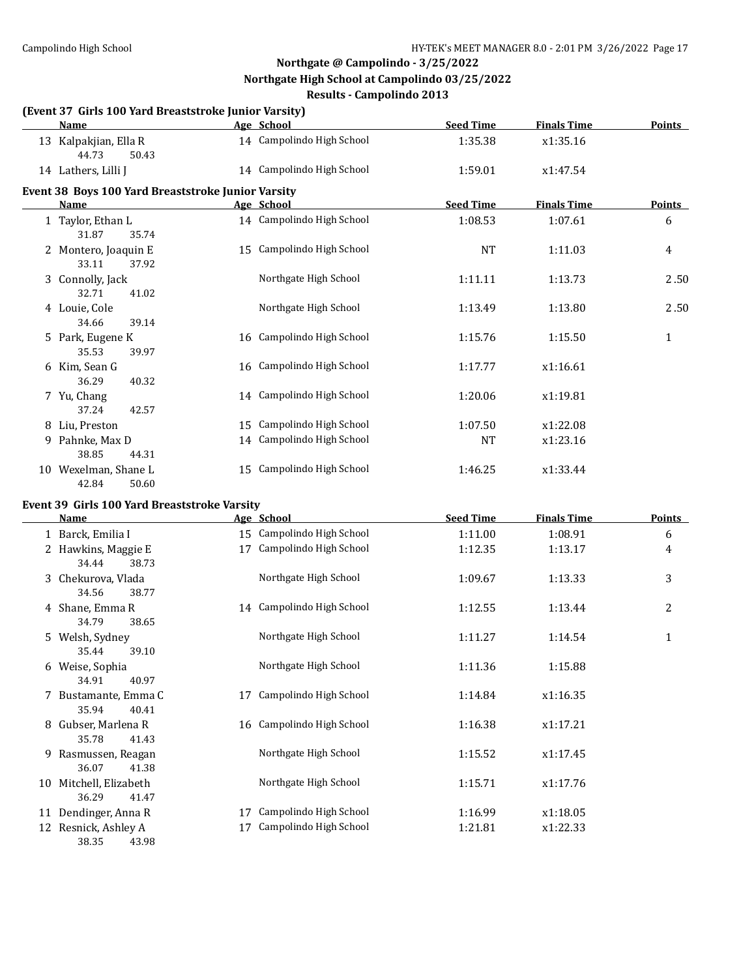# **Northgate @ Campolindo - 3/25/2022 Northgate High School at Campolindo 03/25/2022**

|    |                                                       | <b>Results - Campolindo 2013</b> |                  |                    |                |
|----|-------------------------------------------------------|----------------------------------|------------------|--------------------|----------------|
|    | (Event 37 Girls 100 Yard Breaststroke Junior Varsity) |                                  |                  |                    |                |
|    | <b>Name</b>                                           | Age School                       | <b>Seed Time</b> | <b>Finals Time</b> | <b>Points</b>  |
|    | 13 Kalpakjian, Ella R<br>44.73<br>50.43               | 14 Campolindo High School        | 1:35.38          | x1:35.16           |                |
|    | 14 Lathers, Lilli J                                   | 14 Campolindo High School        | 1:59.01          | x1:47.54           |                |
|    | Event 38 Boys 100 Yard Breaststroke Junior Varsity    |                                  |                  |                    |                |
|    | Name                                                  | Age School                       | <b>Seed Time</b> | <b>Finals Time</b> | <b>Points</b>  |
|    | 1 Taylor, Ethan L<br>31.87<br>35.74                   | 14 Campolindo High School        | 1:08.53          | 1:07.61            | 6              |
|    | 2 Montero, Joaquin E<br>33.11<br>37.92                | 15 Campolindo High School        | <b>NT</b>        | 1:11.03            | $\overline{4}$ |
|    | 3 Connolly, Jack<br>32.71<br>41.02                    | Northgate High School            | 1:11.11          | 1:13.73            | 2.50           |
|    | 4 Louie, Cole<br>34.66<br>39.14                       | Northgate High School            | 1:13.49          | 1:13.80            | 2.50           |
|    | 5 Park, Eugene K<br>35.53<br>39.97                    | 16 Campolindo High School        | 1:15.76          | 1:15.50            | $\mathbf{1}$   |
|    | 6 Kim, Sean G<br>36.29<br>40.32                       | 16 Campolindo High School        | 1:17.77          | x1:16.61           |                |
|    | 7 Yu, Chang<br>37.24<br>42.57                         | 14 Campolindo High School        | 1:20.06          | x1:19.81           |                |
|    | 8 Liu, Preston                                        | 15 Campolindo High School        | 1:07.50          | x1:22.08           |                |
| 9. | Pahnke, Max D<br>38.85<br>44.31                       | 14 Campolindo High School        | NT               | x1:23.16           |                |
|    | 10 Wexelman, Shane L<br>42.84<br>50.60                | 15 Campolindo High School        | 1:46.25          | x1:33.44           |                |

### **Event 39 Girls 100 Yard Breaststroke Varsity**

| <u>Name</u>    |                                                                                                                                                                                                                                                                                                                                                                                                                                         |                        | <b>Seed Time</b>                                                                                                                                                                                                                                                                    | <b>Finals Time</b>                                                                   | <b>Points</b>                                                                              |
|----------------|-----------------------------------------------------------------------------------------------------------------------------------------------------------------------------------------------------------------------------------------------------------------------------------------------------------------------------------------------------------------------------------------------------------------------------------------|------------------------|-------------------------------------------------------------------------------------------------------------------------------------------------------------------------------------------------------------------------------------------------------------------------------------|--------------------------------------------------------------------------------------|--------------------------------------------------------------------------------------------|
|                |                                                                                                                                                                                                                                                                                                                                                                                                                                         |                        | 1:11.00                                                                                                                                                                                                                                                                             | 1:08.91                                                                              | 6                                                                                          |
|                | 17                                                                                                                                                                                                                                                                                                                                                                                                                                      | Campolindo High School | 1:12.35                                                                                                                                                                                                                                                                             | 1:13.17                                                                              | 4                                                                                          |
| 34.44<br>38.73 |                                                                                                                                                                                                                                                                                                                                                                                                                                         |                        |                                                                                                                                                                                                                                                                                     |                                                                                      |                                                                                            |
|                |                                                                                                                                                                                                                                                                                                                                                                                                                                         | Northgate High School  | 1:09.67                                                                                                                                                                                                                                                                             | 1:13.33                                                                              | 3                                                                                          |
| 34.56<br>38.77 |                                                                                                                                                                                                                                                                                                                                                                                                                                         |                        |                                                                                                                                                                                                                                                                                     |                                                                                      |                                                                                            |
|                |                                                                                                                                                                                                                                                                                                                                                                                                                                         |                        | 1:12.55                                                                                                                                                                                                                                                                             | 1:13.44                                                                              | $\overline{2}$                                                                             |
|                |                                                                                                                                                                                                                                                                                                                                                                                                                                         |                        |                                                                                                                                                                                                                                                                                     |                                                                                      |                                                                                            |
|                |                                                                                                                                                                                                                                                                                                                                                                                                                                         |                        |                                                                                                                                                                                                                                                                                     |                                                                                      | $\mathbf{1}$                                                                               |
|                |                                                                                                                                                                                                                                                                                                                                                                                                                                         |                        |                                                                                                                                                                                                                                                                                     |                                                                                      |                                                                                            |
|                |                                                                                                                                                                                                                                                                                                                                                                                                                                         |                        |                                                                                                                                                                                                                                                                                     |                                                                                      |                                                                                            |
|                |                                                                                                                                                                                                                                                                                                                                                                                                                                         |                        |                                                                                                                                                                                                                                                                                     |                                                                                      |                                                                                            |
|                |                                                                                                                                                                                                                                                                                                                                                                                                                                         |                        |                                                                                                                                                                                                                                                                                     |                                                                                      |                                                                                            |
|                |                                                                                                                                                                                                                                                                                                                                                                                                                                         |                        |                                                                                                                                                                                                                                                                                     |                                                                                      |                                                                                            |
|                |                                                                                                                                                                                                                                                                                                                                                                                                                                         |                        |                                                                                                                                                                                                                                                                                     |                                                                                      |                                                                                            |
|                |                                                                                                                                                                                                                                                                                                                                                                                                                                         |                        |                                                                                                                                                                                                                                                                                     |                                                                                      |                                                                                            |
|                |                                                                                                                                                                                                                                                                                                                                                                                                                                         |                        |                                                                                                                                                                                                                                                                                     |                                                                                      |                                                                                            |
|                |                                                                                                                                                                                                                                                                                                                                                                                                                                         |                        |                                                                                                                                                                                                                                                                                     |                                                                                      |                                                                                            |
|                |                                                                                                                                                                                                                                                                                                                                                                                                                                         |                        |                                                                                                                                                                                                                                                                                     |                                                                                      |                                                                                            |
|                |                                                                                                                                                                                                                                                                                                                                                                                                                                         |                        |                                                                                                                                                                                                                                                                                     |                                                                                      |                                                                                            |
|                |                                                                                                                                                                                                                                                                                                                                                                                                                                         |                        |                                                                                                                                                                                                                                                                                     |                                                                                      |                                                                                            |
|                |                                                                                                                                                                                                                                                                                                                                                                                                                                         |                        |                                                                                                                                                                                                                                                                                     |                                                                                      |                                                                                            |
|                | 1 Barck, Emilia I<br>2 Hawkins, Maggie E<br>3 Chekurova, Vlada<br>4 Shane, Emma R<br>34.79<br>38.65<br>5 Welsh, Sydney<br>39.10<br>35.44<br>Weise, Sophia<br>6<br>34.91<br>40.97<br>Bustamante, Emma C<br>35.94<br>40.41<br>Gubser, Marlena R<br>8<br>35.78<br>41.43<br>Rasmussen, Reagan<br>9<br>36.07<br>41.38<br>Mitchell, Elizabeth<br>10<br>36.29<br>41.47<br>Dendinger, Anna R<br>11<br>Resnick, Ashley A<br>12<br>38.35<br>43.98 | 17<br>17<br>17         | Age School<br>15 Campolindo High School<br>14 Campolindo High School<br>Northgate High School<br>Northgate High School<br>Campolindo High School<br>16 Campolindo High School<br>Northgate High School<br>Northgate High School<br>Campolindo High School<br>Campolindo High School | 1:11.27<br>1:11.36<br>1:14.84<br>1:16.38<br>1:15.52<br>1:15.71<br>1:16.99<br>1:21.81 | 1:14.54<br>1:15.88<br>x1:16.35<br>x1:17.21<br>x1:17.45<br>x1:17.76<br>x1:18.05<br>x1:22.33 |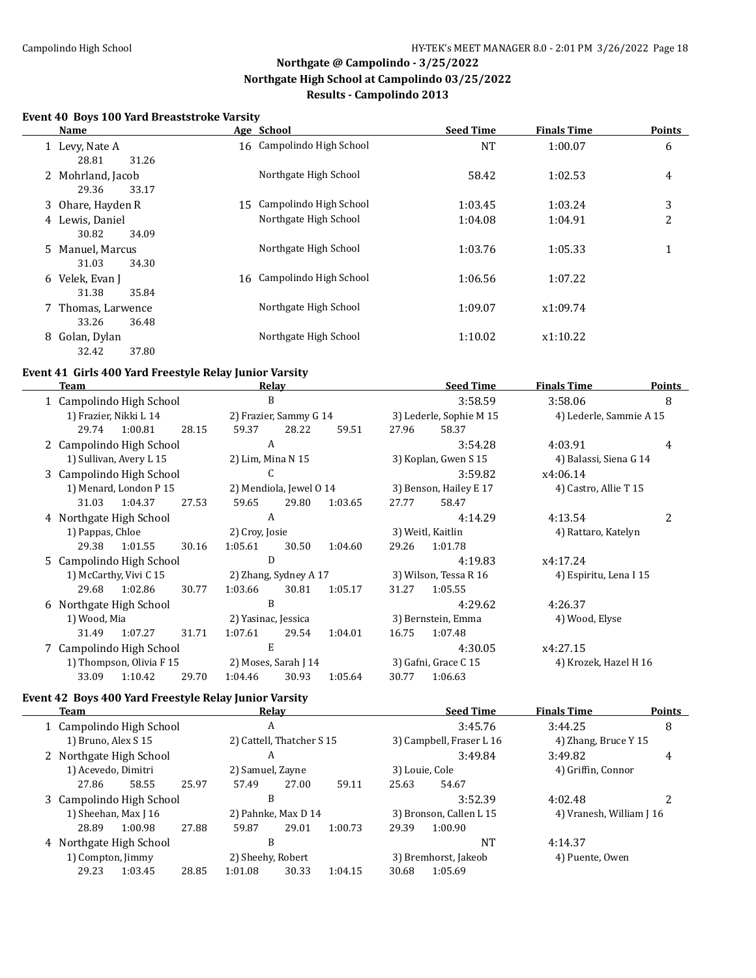#### **Event 40 Boys 100 Yard Breaststroke Varsity**

| Name                                 |    | Age School                | <b>Seed Time</b> | <b>Finals Time</b> | <b>Points</b> |
|--------------------------------------|----|---------------------------|------------------|--------------------|---------------|
| 1 Levy, Nate A<br>31.26<br>28.81     |    | 16 Campolindo High School | NT               | 1:00.07            | 6             |
| 2 Mohrland, Jacob<br>33.17<br>29.36  |    | Northgate High School     | 58.42            | 1:02.53            | 4             |
| 3 Ohare, Hayden R                    | 15 | Campolindo High School    | 1:03.45          | 1:03.24            | 3             |
| 4 Lewis, Daniel<br>34.09<br>30.82    |    | Northgate High School     | 1:04.08          | 1:04.91            | 2             |
| 5 Manuel, Marcus<br>31.03<br>34.30   |    | Northgate High School     | 1:03.76          | 1:05.33            | $\mathbf 1$   |
| 6 Velek, Evan J<br>31.38<br>35.84    |    | 16 Campolindo High School | 1:06.56          | 1:07.22            |               |
| 7 Thomas, Larwence<br>36.48<br>33.26 |    | Northgate High School     | 1:09.07          | x1:09.74           |               |
| 8 Golan, Dylan<br>32.42<br>37.80     |    | Northgate High School     | 1:10.02          | x1:10.22           |               |

### **Event 41 Girls 400 Yard Freestyle Relay Junior Varsity**

| Team                     |                          |       |                        | Relay                   |         |                       | <b>Seed Time</b>        | <b>Finals Time</b>      | <b>Points</b> |
|--------------------------|--------------------------|-------|------------------------|-------------------------|---------|-----------------------|-------------------------|-------------------------|---------------|
| 1 Campolindo High School |                          |       | B                      |                         |         |                       | 3:58.59                 | 3:58.06                 | 8             |
| 1) Frazier, Nikki L 14   |                          |       | 2) Frazier, Sammy G 14 |                         |         |                       | 3) Lederle, Sophie M 15 | 4) Lederle, Sammie A 15 |               |
| 29.74                    | 1:00.81                  | 28.15 | 59.37                  | 28.22                   | 59.51   | 27.96                 | 58.37                   |                         |               |
| 2 Campolindo High School |                          |       | A                      |                         |         |                       | 3:54.28                 | 4:03.91                 | 4             |
|                          | 1) Sullivan, Avery L 15  |       | 2) Lim, Mina N 15      |                         |         |                       | 3) Koplan, Gwen S 15    | 4) Balassi, Siena G 14  |               |
| 3 Campolindo High School |                          |       | C                      |                         |         |                       | 3:59.82                 | x4:06.14                |               |
|                          | 1) Menard, London P 15   |       |                        | 2) Mendiola, Jewel 0 14 |         |                       | 3) Benson, Hailey E 17  | 4) Castro, Allie T 15   |               |
| 31.03                    | 1:04.37                  | 27.53 | 59.65                  | 29.80                   | 1:03.65 | 27.77                 | 58.47                   |                         |               |
| 4 Northgate High School  |                          |       | A                      |                         |         |                       | 4:14.29                 | 4:13.54                 | 2             |
| 1) Pappas, Chloe         |                          |       | 2) Croy, Josie         |                         |         | 3) Weitl, Kaitlin     |                         | 4) Rattaro, Katelyn     |               |
| 29.38                    | 1:01.55                  | 30.16 | 1:05.61                | 30.50                   | 1:04.60 | 29.26                 | 1:01.78                 |                         |               |
| 5 Campolindo High School |                          |       | D                      |                         |         |                       | 4:19.83                 | x4:17.24                |               |
|                          | 1) McCarthy, Vivi C 15   |       |                        | 2) Zhang, Sydney A 17   |         | 3) Wilson, Tessa R 16 |                         | 4) Espiritu, Lena I 15  |               |
| 29.68                    | 1:02.86                  | 30.77 | 1:03.66                | 30.81                   | 1:05.17 | 31.27                 | 1:05.55                 |                         |               |
| 6 Northgate High School  |                          |       | B                      |                         |         |                       | 4:29.62                 | 4:26.37                 |               |
| 1) Wood, Mia             |                          |       | 2) Yasinac, Jessica    |                         |         |                       | 3) Bernstein, Emma      | 4) Wood, Elyse          |               |
| 31.49                    | 1:07.27                  | 31.71 | 1:07.61                | 29.54                   | 1:04.01 | 16.75                 | 1:07.48                 |                         |               |
| 7 Campolindo High School |                          |       | E                      |                         |         |                       | 4:30.05                 | x4:27.15                |               |
|                          | 1) Thompson, Olivia F 15 |       |                        | 2) Moses, Sarah J 14    |         | 3) Gafni, Grace C 15  |                         | 4) Krozek, Hazel H 16   |               |
| 33.09                    | 1:10.42                  | 29.70 | 1:04.46                | 30.93                   | 1:05.64 | 30.77                 | 1:06.63                 |                         |               |

### **Event 42 Boys 400 Yard Freestyle Relay Junior Varsity**

| Team |                          |                      |       |                     | Relay                     |         |       | <b>Seed Time</b>         | <b>Finals Time</b>       | Points |
|------|--------------------------|----------------------|-------|---------------------|---------------------------|---------|-------|--------------------------|--------------------------|--------|
|      | 1 Campolindo High School |                      |       | A                   |                           |         |       | 3:45.76                  | 3:44.25                  | 8      |
|      | 1) Bruno, Alex S 15      |                      |       |                     | 2) Cattell, Thatcher S 15 |         |       | 3) Campbell, Fraser L 16 | 4) Zhang, Bruce Y 15     |        |
|      | 2 Northgate High School  |                      |       | A                   |                           |         |       | 3:49.84                  | 3:49.82                  | 4      |
|      | 1) Acevedo, Dimitri      |                      |       | 2) Samuel, Zayne    |                           |         |       | 3) Louie, Cole           | 4) Griffin, Connor       |        |
|      | 27.86                    | 58.55                | 25.97 | 57.49               | 27.00                     | 59.11   | 25.63 | 54.67                    |                          |        |
|      | 3 Campolindo High School |                      |       | B                   |                           |         |       | 3:52.39                  | 4:02.48                  |        |
|      |                          | 1) Sheehan, Max J 16 |       | 2) Pahnke, Max D 14 |                           |         |       | 3) Bronson, Callen L 15  | 4) Vranesh, William J 16 |        |
|      | 28.89                    | 1:00.98              | 27.88 | 59.87               | 29.01                     | 1:00.73 | 29.39 | 1:00.90                  |                          |        |
|      | 4 Northgate High School  |                      |       | B                   |                           |         |       | <b>NT</b>                | 4:14.37                  |        |
|      | 1) Compton, Jimmy        |                      |       | 2) Sheehy, Robert   |                           |         |       | 3) Bremhorst, Jakeob     | 4) Puente, Owen          |        |
|      | 29.23                    | 1:03.45              | 28.85 | 1:01.08             | 30.33                     | 1:04.15 | 30.68 | 1:05.69                  |                          |        |